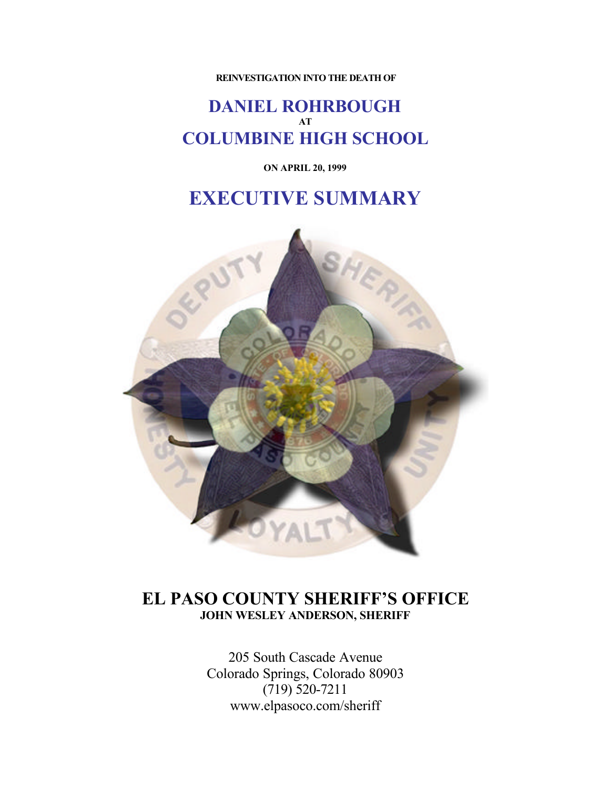**REINVESTIGATION INTO THE DEATH OF**

### **DANIEL ROHRBOUGH AT COLUMBINE HIGH SCHOOL**

**ON APRIL 20, 1999**

# **EXECUTIVE SUMMARY**



### **EL PASO COUNTY SHERIFF'S OFFICE JOHN WESLEY ANDERSON, SHERIFF**

205 South Cascade Avenue Colorado Springs, Colorado 80903  $(719) 520 - 7211$ www.elpasoco.com/sheriff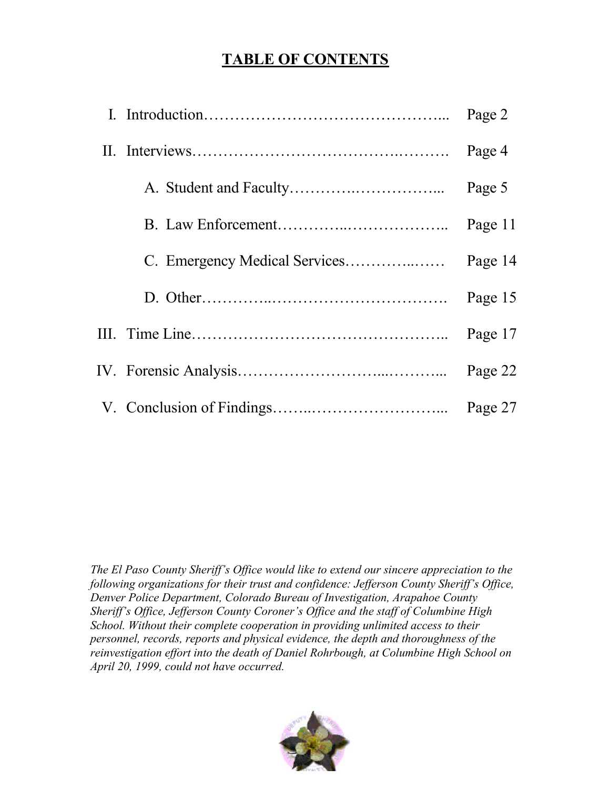# **TABLE OF CONTENTS**

|  | Page 2  |
|--|---------|
|  | Page 4  |
|  | Page 5  |
|  | Page 11 |
|  | Page 14 |
|  | Page 15 |
|  | Page 17 |
|  | Page 22 |
|  | Page 27 |

*The El Paso County Sheriff's Office would like to extend our sincere appreciation to the following organizations for their trust and confidence: Jefferson County Sheriff's Office, Denver Police Department, Colorado Bureau of Investigation, Arapahoe County Sheriff's Office, Jefferson County Coroner's Office and the staff of Columbine High School. Without their complete cooperation in providing unlimited access to their personnel, records, reports and physical evidence, the depth and thoroughness of the reinvestigation effort into the death of Daniel Rohrbough, at Columbine High School on April 20, 1999, could not have occurred.*

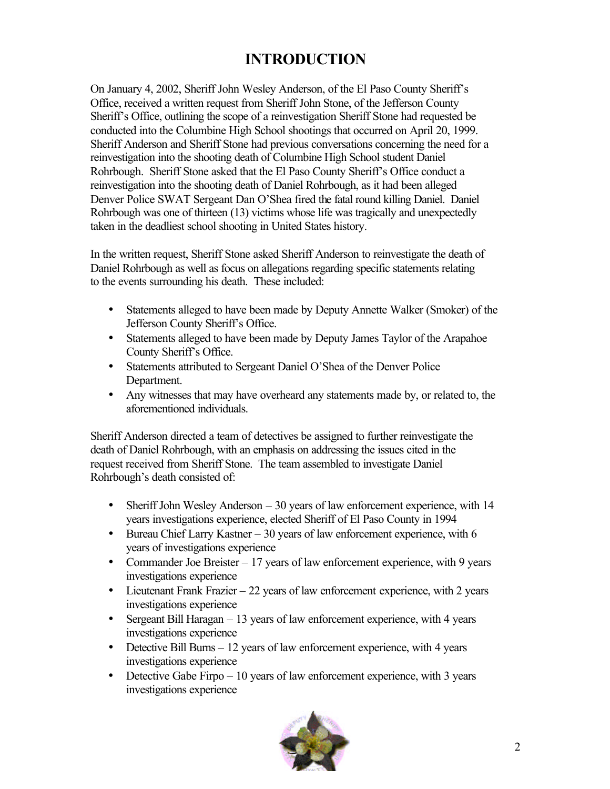# **INTRODUCTION**

On January 4, 2002, Sheriff John Wesley Anderson, of the El Paso County Sheriff's Office, received a written request from Sheriff John Stone, of the Jefferson County Sheriff's Office, outlining the scope of a reinvestigation Sheriff Stone had requested be conducted into the Columbine High School shootings that occurred on April 20, 1999. Sheriff Anderson and Sheriff Stone had previous conversations concerning the need for a reinvestigation into the shooting death of Columbine High School student Daniel Rohrbough. Sheriff Stone asked that the El Paso County Sheriff's Office conduct a reinvestigation into the shooting death of Daniel Rohrbough, as it had been alleged Denver Police SWAT Sergeant Dan O'Shea fired the fatal round killing Daniel. Daniel Rohrbough was one of thirteen (13) victims whose life was tragically and unexpectedly taken in the deadliest school shooting in United States history.

In the written request, Sheriff Stone asked Sheriff Anderson to reinvestigate the death of Daniel Rohrbough as well as focus on allegations regarding specific statements relating to the events surrounding his death. These included:

- Statements alleged to have been made by Deputy Annette Walker (Smoker) of the Jefferson County Sheriff's Office.
- Statements alleged to have been made by Deputy James Taylor of the Arapahoe County Sheriff's Office.
- Statements attributed to Sergeant Daniel O'Shea of the Denver Police Department.
- Any witnesses that may have overheard any statements made by, or related to, the aforementioned individuals.

Sheriff Anderson directed a team of detectives be assigned to further reinvestigate the death of Daniel Rohrbough, with an emphasis on addressing the issues cited in the request received from Sheriff Stone. The team assembled to investigate Daniel Rohrbough's death consisted of:

- Sheriff John Wesley Anderson 30 years of law enforcement experience, with 14 years investigations experience, elected Sheriff of El Paso County in 1994
- Bureau Chief Larry Kastner 30 years of law enforcement experience, with 6 years of investigations experience
- Commander Joe Breister 17 years of law enforcement experience, with 9 years investigations experience
- Lieutenant Frank Frazier 22 years of law enforcement experience, with 2 years investigations experience
- Sergeant Bill Haragan 13 years of law enforcement experience, with 4 years investigations experience
- Detective Bill Burns 12 years of law enforcement experience, with 4 years investigations experience
- Detective Gabe Firpo  $-10$  years of law enforcement experience, with 3 years investigations experience

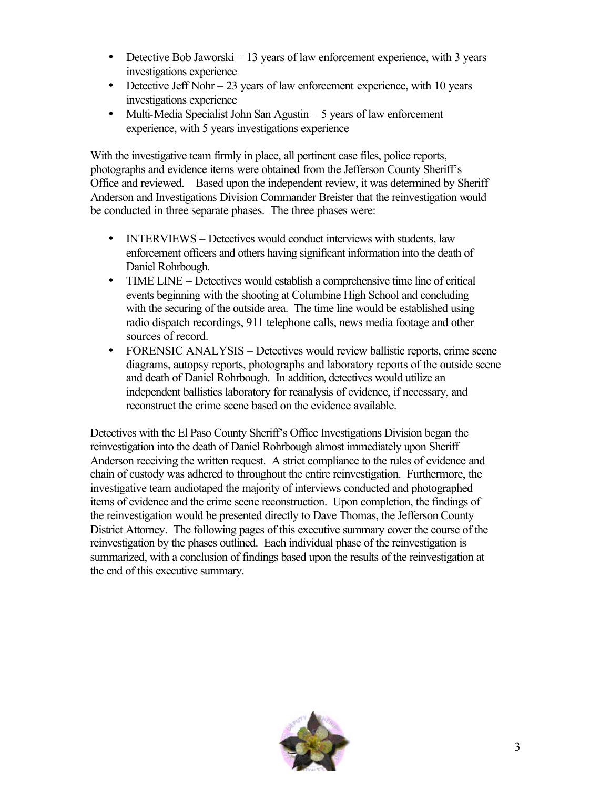- Detective Bob Jaworski  $-13$  years of law enforcement experience, with 3 years investigations experience
- Detective Jeff Nohr  $-23$  years of law enforcement experience, with 10 years investigations experience
- Multi-Media Specialist John San Agustin 5 years of law enforcement experience, with 5 years investigations experience

With the investigative team firmly in place, all pertinent case files, police reports, photographs and evidence items were obtained from the Jefferson County Sheriff's Office and reviewed. Based upon the independent review, it was determined by Sheriff Anderson and Investigations Division Commander Breister that the reinvestigation would be conducted in three separate phases. The three phases were:

- INTERVIEWS Detectives would conduct interviews with students, law enforcement officers and others having significant information into the death of Daniel Rohrbough.
- TIME LINE Detectives would establish a comprehensive time line of critical events beginning with the shooting at Columbine High School and concluding with the securing of the outside area. The time line would be established using radio dispatch recordings, 911 telephone calls, news media footage and other sources of record.
- FORENSIC ANALYSIS Detectives would review ballistic reports, crime scene diagrams, autopsy reports, photographs and laboratory reports of the outside scene and death of Daniel Rohrbough. In addition, detectives would utilize an independent ballistics laboratory for reanalysis of evidence, if necessary, and reconstruct the crime scene based on the evidence available.

Detectives with the El Paso County Sheriff's Office Investigations Division began the reinvestigation into the death of Daniel Rohrbough almost immediately upon Sheriff Anderson receiving the written request. A strict compliance to the rules of evidence and chain of custody was adhered to throughout the entire reinvestigation. Furthermore, the investigative team audiotaped the majority of interviews conducted and photographed items of evidence and the crime scene reconstruction. Upon completion, the findings of the reinvestigation would be presented directly to Dave Thomas, the Jefferson County District Attorney. The following pages of this executive summary cover the course of the reinvestigation by the phases outlined. Each individual phase of the reinvestigation is summarized, with a conclusion of findings based upon the results of the reinvestigation at the end of this executive summary.

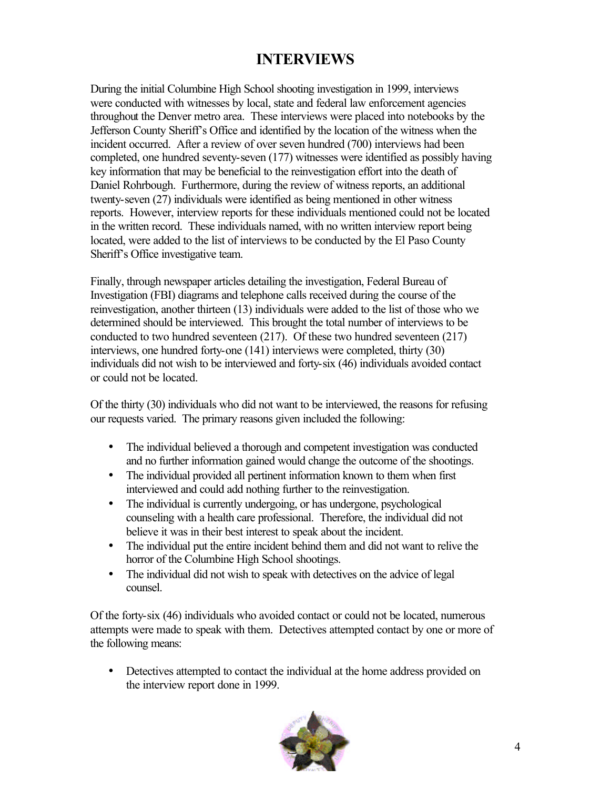# **INTERVIEWS**

During the initial Columbine High School shooting investigation in 1999, interviews were conducted with witnesses by local, state and federal law enforcement agencies throughout the Denver metro area. These interviews were placed into notebooks by the Jefferson County Sheriff's Office and identified by the location of the witness when the incident occurred. After a review of over seven hundred (700) interviews had been completed, one hundred seventy-seven (177) witnesses were identified as possibly having key information that may be beneficial to the reinvestigation effort into the death of Daniel Rohrbough. Furthermore, during the review of witness reports, an additional twenty-seven (27) individuals were identified as being mentioned in other witness reports. However, interview reports for these individuals mentioned could not be located in the written record. These individuals named, with no written interview report being located, were added to the list of interviews to be conducted by the El Paso County Sheriff's Office investigative team.

Finally, through newspaper articles detailing the investigation, Federal Bureau of Investigation (FBI) diagrams and telephone calls received during the course of the reinvestigation, another thirteen (13) individuals were added to the list of those who we determined should be interviewed. This brought the total number of interviews to be conducted to two hundred seventeen (217). Of these two hundred seventeen (217) interviews, one hundred forty-one (141) interviews were completed, thirty (30) individuals did not wish to be interviewed and forty-six (46) individuals avoided contact or could not be located.

Of the thirty (30) individuals who did not want to be interviewed, the reasons for refusing our requests varied. The primary reasons given included the following:

- The individual believed a thorough and competent investigation was conducted and no further information gained would change the outcome of the shootings.
- The individual provided all pertinent information known to them when first interviewed and could add nothing further to the reinvestigation.
- The individual is currently undergoing, or has undergone, psychological counseling with a health care professional. Therefore, the individual did not believe it was in their best interest to speak about the incident.
- The individual put the entire incident behind them and did not want to relive the horror of the Columbine High School shootings.
- The individual did not wish to speak with detectives on the advice of legal counsel.

Of the forty-six (46) individuals who avoided contact or could not be located, numerous attempts were made to speak with them. Detectives attempted contact by one or more of the following means:

• Detectives attempted to contact the individual at the home address provided on the interview report done in 1999.

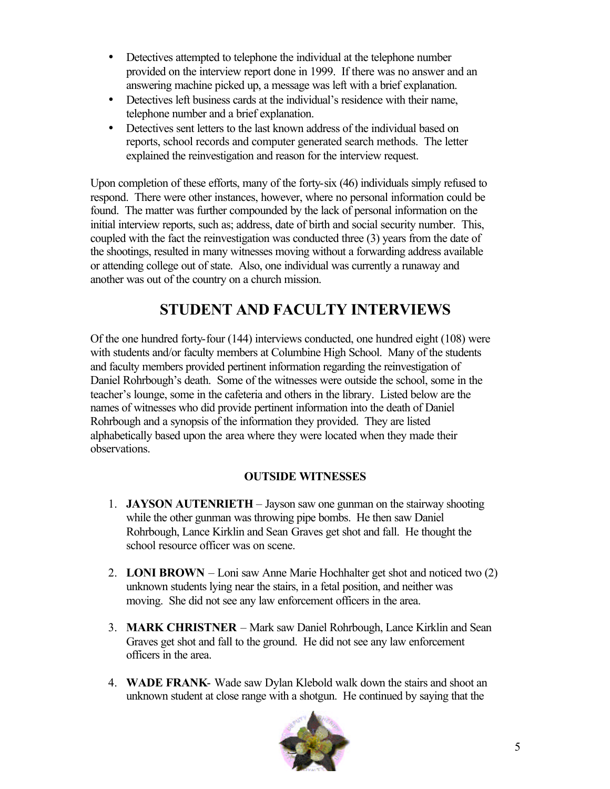- Detectives attempted to telephone the individual at the telephone number provided on the interview report done in 1999. If there was no answer and an answering machine picked up, a message was left with a brief explanation.
- Detectives left business cards at the individual's residence with their name, telephone number and a brief explanation.
- Detectives sent letters to the last known address of the individual based on reports, school records and computer generated search methods. The letter explained the reinvestigation and reason for the interview request.

Upon completion of these efforts, many of the forty-six (46) individuals simply refused to respond. There were other instances, however, where no personal information could be found. The matter was further compounded by the lack of personal information on the initial interview reports, such as; address, date of birth and social security number. This, coupled with the fact the reinvestigation was conducted three (3) years from the date of the shootings, resulted in many witnesses moving without a forwarding address available or attending college out of state. Also, one individual was currently a runaway and another was out of the country on a church mission.

# **STUDENT AND FACULTY INTERVIEWS**

Of the one hundred forty-four (144) interviews conducted, one hundred eight (108) were with students and/or faculty members at Columbine High School. Many of the students and faculty members provided pertinent information regarding the reinvestigation of Daniel Rohrbough's death. Some of the witnesses were outside the school, some in the teacher's lounge, some in the cafeteria and others in the library. Listed below are the names of witnesses who did provide pertinent information into the death of Daniel Rohrbough and a synopsis of the information they provided. They are listed alphabetically based upon the area where they were located when they made their observations.

#### **OUTSIDE WITNESSES**

- 1. **JAYSON AUTENRIETH** Jayson saw one gunman on the stairway shooting while the other gunman was throwing pipe bombs. He then saw Daniel Rohrbough, Lance Kirklin and Sean Graves get shot and fall. He thought the school resource officer was on scene.
- 2. **LONI BROWN** Loni saw Anne Marie Hochhalter get shot and noticed two (2) unknown students lying near the stairs, in a fetal position, and neither was moving. She did not see any law enforcement officers in the area.
- 3. **MARK CHRISTNER** Mark saw Daniel Rohrbough, Lance Kirklin and Sean Graves get shot and fall to the ground. He did not see any law enforcement officers in the area.
- 4. **WADE FRANK** Wade saw Dylan Klebold walk down the stairs and shoot an unknown student at close range with a shotgun. He continued by saying that the

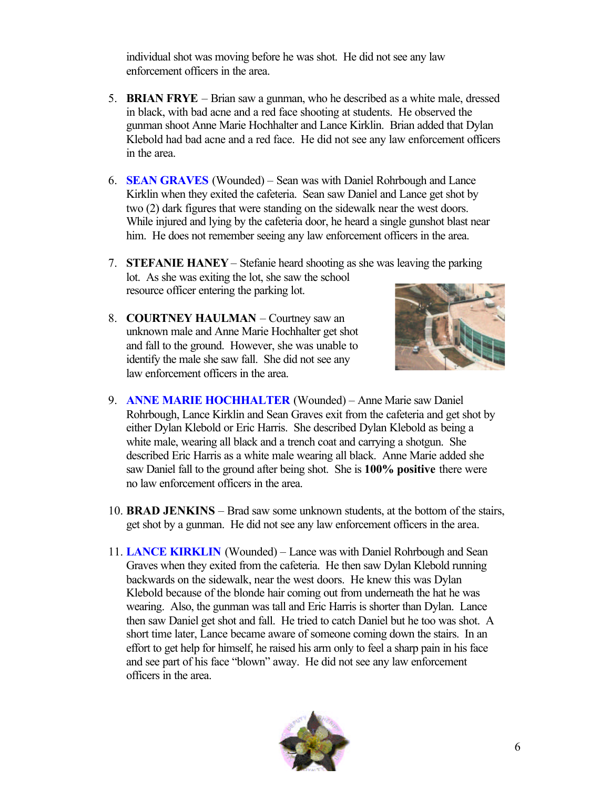individual shot was moving before he was shot. He did not see any law enforcement officers in the area.

- 5. **BRIAN FRYE** Brian saw a gunman, who he described as a white male, dressed in black, with bad acne and a red face shooting at students. He observed the gunman shoot Anne Marie Hochhalter and Lance Kirklin. Brian added that Dylan Klebold had bad acne and a red face. He did not see any law enforcement officers in the area.
- 6. **SEAN GRAVES** (Wounded) Sean was with Daniel Rohrbough and Lance Kirklin when they exited the cafeteria. Sean saw Daniel and Lance get shot by two (2) dark figures that were standing on the sidewalk near the west doors. While injured and lying by the cafeteria door, he heard a single gunshot blast near him. He does not remember seeing any law enforcement officers in the area.
- 7. **STEFANIE HANEY** Stefanie heard shooting as she was leaving the parking lot. As she was exiting the lot, she saw the school resource officer entering the parking lot.
- 8. **COURTNEY HAULMAN** Courtney saw an unknown male and Anne Marie Hochhalter get shot and fall to the ground. However, she was unable to identify the male she saw fall. She did not see any law enforcement officers in the area.



- 9. **ANNE MARIE HOCHHALTER** (Wounded) Anne Marie saw Daniel Rohrbough, Lance Kirklin and Sean Graves exit from the cafeteria and get shot by either Dylan Klebold or Eric Harris. She described Dylan Klebold as being a white male, wearing all black and a trench coat and carrying a shotgun. She described Eric Harris as a white male wearing all black. Anne Marie added she saw Daniel fall to the ground after being shot. She is **100% positive** there were no law enforcement officers in the area.
- 10. **BRAD JENKINS** Brad saw some unknown students, at the bottom of the stairs, get shot by a gunman. He did not see any law enforcement officers in the area.
- 11. **LANCE KIRKLIN** (Wounded) Lance was with Daniel Rohrbough and Sean Graves when they exited from the cafeteria. He then saw Dylan Klebold running backwards on the sidewalk, near the west doors. He knew this was Dylan Klebold because of the blonde hair coming out from underneath the hat he was wearing. Also, the gunman was tall and Eric Harris is shorter than Dylan. Lance then saw Daniel get shot and fall. He tried to catch Daniel but he too was shot. A short time later, Lance became aware of someone coming down the stairs. In an effort to get help for himself, he raised his arm only to feel a sharp pain in his face and see part of his face "blown" away. He did not see any law enforcement officers in the area.

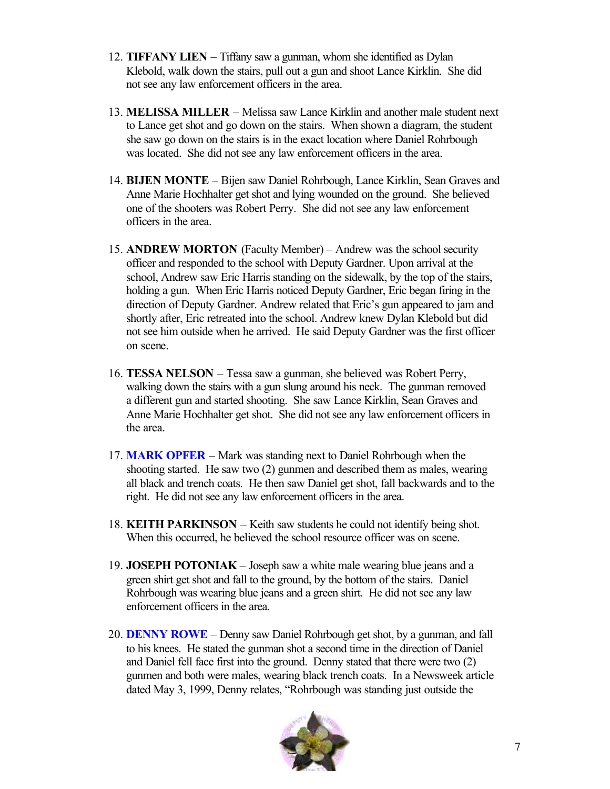- 12. **TIFFANY LIEN** Tiffany saw a gunman, whom she identified as Dylan Klebold, walk down the stairs, pull out a gun and shoot Lance Kirklin. She did not see any law enforcement officers in the area.
- 13. **MELISSA MILLER** Melissa saw Lance Kirklin and another male student next to Lance get shot and go down on the stairs. When shown a diagram, the student she saw go down on the stairs is in the exact location where Daniel Rohrbough was located. She did not see any law enforcement officers in the area.
- 14. **BIJEN MONTE** Bijen saw Daniel Rohrbough, Lance Kirklin, Sean Graves and Anne Marie Hochhalter get shot and lying wounded on the ground. She believed one of the shooters was Robert Perry. She did not see any law enforcement officers in the area.
- 15. **ANDREW MORTON** (Faculty Member) Andrew was the school security officer and responded to the school with Deputy Gardner. Upon arrival at the school, Andrew saw Eric Harris standing on the sidewalk, by the top of the stairs, holding a gun. When Eric Harris noticed Deputy Gardner, Eric began firing in the direction of Deputy Gardner. Andrew related that Eric's gun appeared to jam and shortly after, Eric retreated into the school. Andrew knew Dylan Klebold but did not see him outside when he arrived. He said Deputy Gardner was the first officer on scene.
- 16. **TESSA NELSON** Tessa saw a gunman, she believed was Robert Perry, walking down the stairs with a gun slung around his neck. The gunman removed a different gun and started shooting. She saw Lance Kirklin, Sean Graves and Anne Marie Hochhalter get shot. She did not see any law enforcement officers in the area.
- 17. **MARK OPFER** Mark was standing next to Daniel Rohrbough when the shooting started. He saw two (2) gunmen and described them as males, wearing all black and trench coats. He then saw Daniel get shot, fall backwards and to the right. He did not see any law enforcement officers in the area.
- 18. **KEITH PARKINSON** Keith saw students he could not identify being shot. When this occurred, he believed the school resource officer was on scene.
- 19. **JOSEPH POTONIAK** Joseph saw a white male wearing blue jeans and a green shirt get shot and fall to the ground, by the bottom of the stairs. Daniel Rohrbough was wearing blue jeans and a green shirt. He did not see any law enforcement officers in the area.
- 20. **DENNY ROWE** Denny saw Daniel Rohrbough get shot, by a gunman, and fall to his knees. He stated the gunman shot a second time in the direction of Daniel and Daniel fell face first into the ground. Denny stated that there were two (2) gunmen and both were males, wearing black trench coats. In a Newsweek article dated May 3, 1999, Denny relates, "Rohrbough was standing just outside the

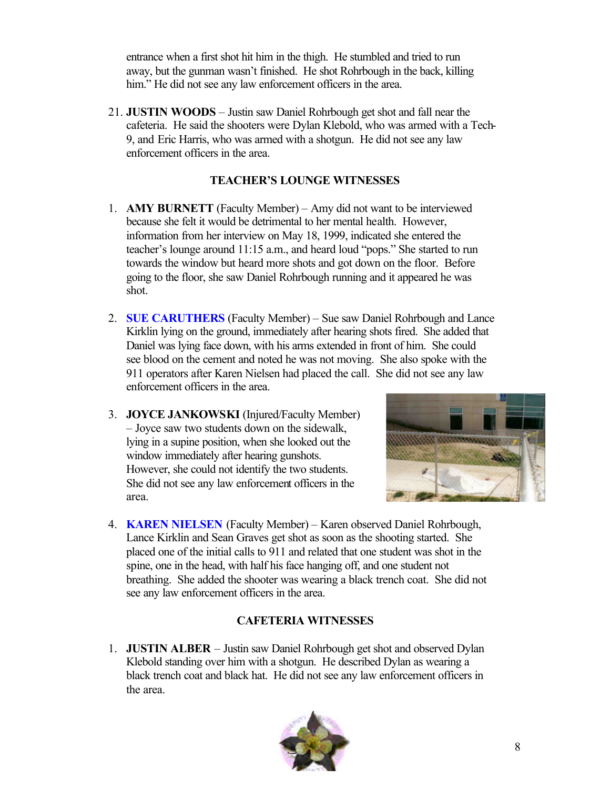entrance when a first shot hit him in the thigh. He stumbled and tried to run away, but the gunman wasn't finished. He shot Rohrbough in the back, killing him." He did not see any law enforcement officers in the area.

21. **JUSTIN WOODS** – Justin saw Daniel Rohrbough get shot and fall near the cafeteria. He said the shooters were Dylan Klebold, who was armed with a Tech-9, and Eric Harris, who was armed with a shotgun. He did not see any law enforcement officers in the area.

#### **TEACHER'S LOUNGE WITNESSES**

- 1. **AMY BURNETT** (Faculty Member) Amy did not want to be interviewed because she felt it would be detrimental to her mental health. However, information from her interview on May 18, 1999, indicated she entered the teacher's lounge around 11:15 a.m., and heard loud "pops." She started to run towards the window but heard more shots and got down on the floor. Before going to the floor, she saw Daniel Rohrbough running and it appeared he was shot.
- 2. **SUE CARUTHERS** (Faculty Member) Sue saw Daniel Rohrbough and Lance Kirklin lying on the ground, immediately after hearing shots fired. She added that Daniel was lying face down, with his arms extended in front of him. She could see blood on the cement and noted he was not moving. She also spoke with the 911 operators after Karen Nielsen had placed the call. She did not see any law enforcement officers in the area.
- 3. **JOYCE JANKOWSKI** (Injured/Faculty Member) – Joyce saw two students down on the sidewalk, lying in a supine position, when she looked out the window immediately after hearing gunshots. However, she could not identify the two students. She did not see any law enforcement officers in the area.



4. **KAREN NIELSEN** (Faculty Member) – Karen observed Daniel Rohrbough, Lance Kirklin and Sean Graves get shot as soon as the shooting started. She placed one of the initial calls to 911 and related that one student was shot in the spine, one in the head, with half his face hanging off, and one student not breathing. She added the shooter was wearing a black trench coat. She did not see any law enforcement officers in the area.

#### **CAFETERIA WITNESSES**

1. **JUSTIN ALBER** – Justin saw Daniel Rohrbough get shot and observed Dylan Klebold standing over him with a shotgun. He described Dylan as wearing a black trench coat and black hat. He did not see any law enforcement officers in the area.

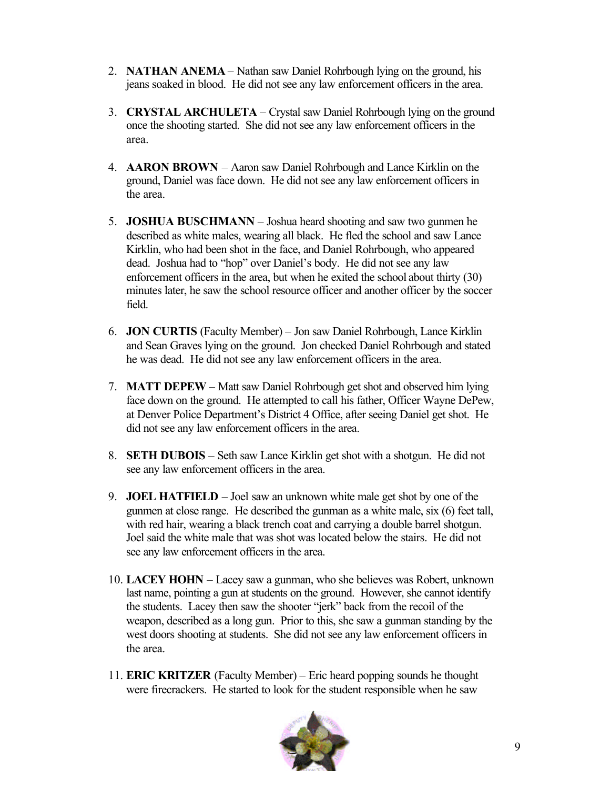- 2. **NATHAN ANEMA** Nathan saw Daniel Rohrbough lying on the ground, his jeans soaked in blood. He did not see any law enforcement officers in the area.
- 3. **CRYSTAL ARCHULETA** Crystal saw Daniel Rohrbough lying on the ground once the shooting started. She did not see any law enforcement officers in the area.
- 4. **AARON BROWN** Aaron saw Daniel Rohrbough and Lance Kirklin on the ground, Daniel was face down. He did not see any law enforcement officers in the area.
- 5. **JOSHUA BUSCHMANN** Joshua heard shooting and saw two gunmen he described as white males, wearing all black. He fled the school and saw Lance Kirklin, who had been shot in the face, and Daniel Rohrbough, who appeared dead. Joshua had to "hop" over Daniel's body. He did not see any law enforcement officers in the area, but when he exited the school about thirty (30) minutes later, he saw the school resource officer and another officer by the soccer field.
- 6. **JON CURTIS** (Faculty Member) Jon saw Daniel Rohrbough, Lance Kirklin and Sean Graves lying on the ground. Jon checked Daniel Rohrbough and stated he was dead. He did not see any law enforcement officers in the area.
- 7. **MATT DEPEW** Matt saw Daniel Rohrbough get shot and observed him lying face down on the ground. He attempted to call his father, Officer Wayne DePew, at Denver Police Department's District 4 Office, after seeing Daniel get shot. He did not see any law enforcement officers in the area.
- 8. **SETH DUBOIS** Seth saw Lance Kirklin get shot with a shotgun. He did not see any law enforcement officers in the area.
- 9. **JOEL HATFIELD** Joel saw an unknown white male get shot by one of the gunmen at close range. He described the gunman as a white male, six (6) feet tall, with red hair, wearing a black trench coat and carrying a double barrel shotgun. Joel said the white male that was shot was located below the stairs. He did not see any law enforcement officers in the area.
- 10. **LACEY HOHN** Lacey saw a gunman, who she believes was Robert, unknown last name, pointing a gun at students on the ground. However, she cannot identify the students. Lacey then saw the shooter "jerk" back from the recoil of the weapon, described as a long gun. Prior to this, she saw a gunman standing by the west doors shooting at students. She did not see any law enforcement officers in the area.
- 11. **ERIC KRITZER** (Faculty Member) Eric heard popping sounds he thought were firecrackers. He started to look for the student responsible when he saw

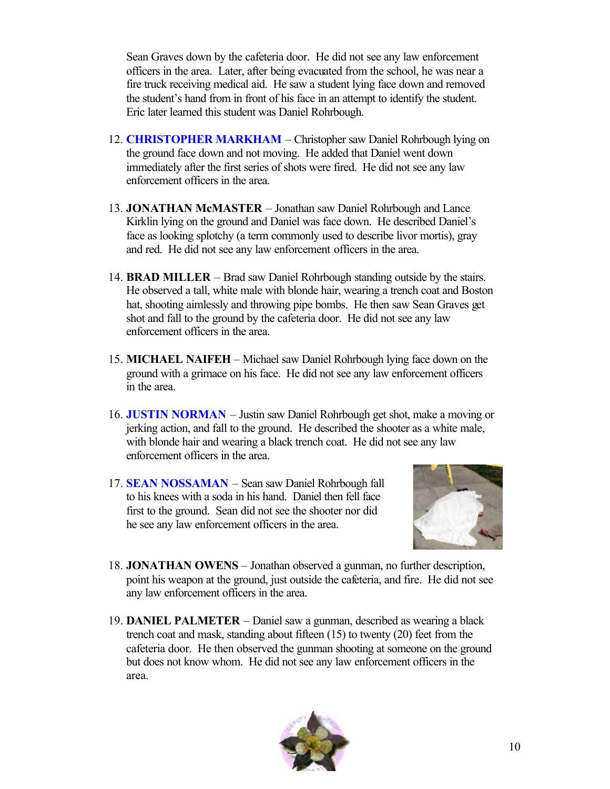Sean Graves down by the cafeteria door. He did not see any law enforcement officers in the area. Later, after being evacuated from the school, he was near a fire truck receiving medical aid. He saw a student lying face down and removed the student's hand from in front of his face in an attempt to identify the student. Eric later learned this student was Daniel Rohrbough.

- 12. **CHRISTOPHER MARKHAM** Christopher saw Daniel Rohrbough lying on the ground face down and not moving. He added that Daniel went down immediately after the first series of shots were fired. He did not see any law enforcement officers in the area.
- 13. **JONATHAN McMASTER** Jonathan saw Daniel Rohrbough and Lance Kirklin lying on the ground and Daniel was face down. He described Daniel's face as looking splotchy (a term commonly used to describe livor mortis), gray and red. He did not see any law enforcement officers in the area.
- 14. **BRAD MILLER** Brad saw Daniel Rohrbough standing outside by the stairs. He observed a tall, white male with blonde hair, wearing a trench coat and Boston hat, shooting aimlessly and throwing pipe bombs. He then saw Sean Graves get shot and fall to the ground by the cafeteria door. He did not see any law enforcement officers in the area.
- 15. **MICHAEL NAIFEH** Michael saw Daniel Rohrbough lying face down on the ground with a grimace on his face. He did not see any law enforcement officers in the area.
- 16. **JUSTIN NORMAN** Justin saw Daniel Rohrbough get shot, make a moving or jerking action, and fall to the ground. He described the shooter as a white male, with blonde hair and wearing a black trench coat. He did not see any law enforcement officers in the area.
- 17. **SEAN NOSSAMAN** Sean saw Daniel Rohrbough fall to his knees with a soda in his hand. Daniel then fell face first to the ground. Sean did not see the shooter nor did he see any law enforcement officers in the area.



- 18. **JONATHAN OWENS** Jonathan observed a gunman, no further description, point his weapon at the ground, just outside the cafeteria, and fire. He did not see any law enforcement officers in the area.
- 19. **DANIEL PALMETER** Daniel saw a gunman, described as wearing a black trench coat and mask, standing about fifteen (15) to twenty (20) feet from the cafeteria door. He then observed the gunman shooting at someone on the ground but does not know whom. He did not see any law enforcement officers in the area.

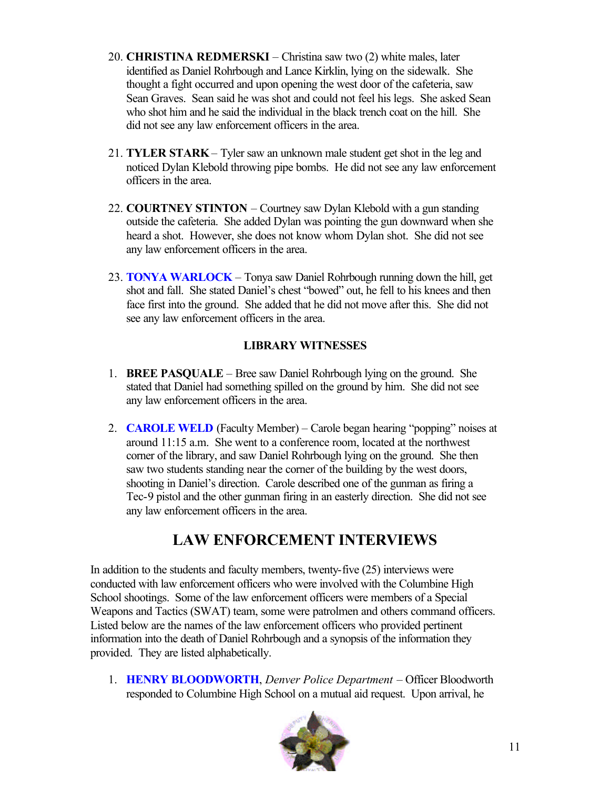- 20. **CHRISTINA REDMERSKI** Christina saw two (2) white males, later identified as Daniel Rohrbough and Lance Kirklin, lying on the sidewalk. She thought a fight occurred and upon opening the west door of the cafeteria, saw Sean Graves. Sean said he was shot and could not feel his legs. She asked Sean who shot him and he said the individual in the black trench coat on the hill. She did not see any law enforcement officers in the area.
- 21. **TYLER STARK** Tyler saw an unknown male student get shot in the leg and noticed Dylan Klebold throwing pipe bombs. He did not see any law enforcement officers in the area.
- 22. **COURTNEY STINTON** Courtney saw Dylan Klebold with a gun standing outside the cafeteria. She added Dylan was pointing the gun downward when she heard a shot. However, she does not know whom Dylan shot. She did not see any law enforcement officers in the area.
- 23. **TONYA WARLOCK** Tonya saw Daniel Rohrbough running down the hill, get shot and fall. She stated Daniel's chest "bowed" out, he fell to his knees and then face first into the ground. She added that he did not move after this. She did not see any law enforcement officers in the area.

#### **LIBRARY WITNESSES**

- 1. **BREE PASQUALE** Bree saw Daniel Rohrbough lying on the ground. She stated that Daniel had something spilled on the ground by him. She did not see any law enforcement officers in the area.
- 2. **CAROLE WELD** (Faculty Member) Carole began hearing "popping" noises at around 11:15 a.m. She went to a conference room, located at the northwest corner of the library, and saw Daniel Rohrbough lying on the ground. She then saw two students standing near the corner of the building by the west doors, shooting in Daniel's direction. Carole described one of the gunman as firing a Tec-9 pistol and the other gunman firing in an easterly direction. She did not see any law enforcement officers in the area.

### **LAW ENFORCEMENT INTERVIEWS**

In addition to the students and faculty members, twenty-five (25) interviews were conducted with law enforcement officers who were involved with the Columbine High School shootings. Some of the law enforcement officers were members of a Special Weapons and Tactics (SWAT) team, some were patrolmen and others command officers. Listed below are the names of the law enforcement officers who provided pertinent information into the death of Daniel Rohrbough and a synopsis of the information they provided. They are listed alphabetically.

1. **HENRY BLOODWORTH**, *Denver Police Department* – Officer Bloodworth responded to Columbine High School on a mutual aid request. Upon arrival, he

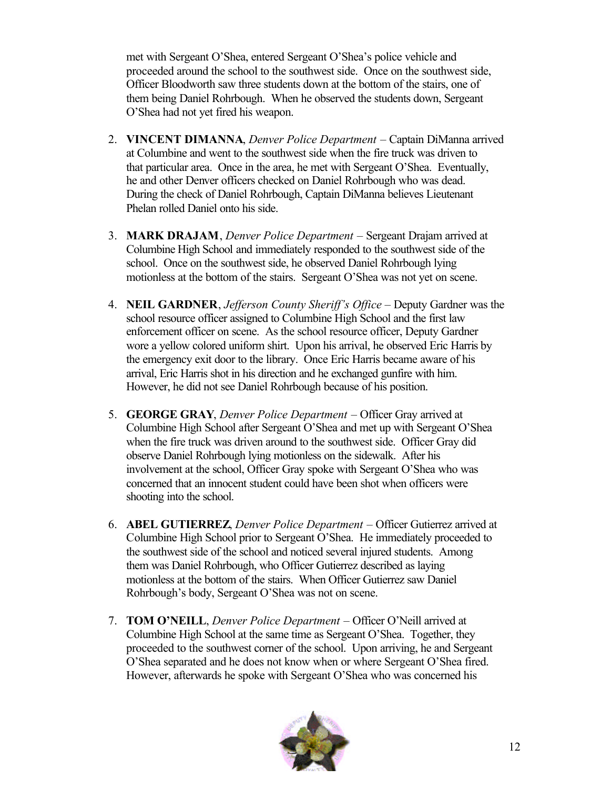met with Sergeant O'Shea, entered Sergeant O'Shea's police vehicle and proceeded around the school to the southwest side. Once on the southwest side, Officer Bloodworth saw three students down at the bottom of the stairs, one of them being Daniel Rohrbough. When he observed the students down, Sergeant O'Shea had not yet fired his weapon.

- 2. **VINCENT DIMANNA**, *Denver Police Department* Captain DiManna arrived at Columbine and went to the southwest side when the fire truck was driven to that particular area. Once in the area, he met with Sergeant O'Shea. Eventually, he and other Denver officers checked on Daniel Rohrbough who was dead. During the check of Daniel Rohrbough, Captain DiManna believes Lieutenant Phelan rolled Daniel onto his side.
- 3. **MARK DRAJAM**, *Denver Police Department* Sergeant Drajam arrived at Columbine High School and immediately responded to the southwest side of the school. Once on the southwest side, he observed Daniel Rohrbough lying motionless at the bottom of the stairs. Sergeant O'Shea was not yet on scene.
- 4. **NEIL GARDNER**, *Jefferson County Sheriff's Office* Deputy Gardner was the school resource officer assigned to Columbine High School and the first law enforcement officer on scene. As the school resource officer, Deputy Gardner wore a yellow colored uniform shirt. Upon his arrival, he observed Eric Harris by the emergency exit door to the library. Once Eric Harris became aware of his arrival, Eric Harris shot in his direction and he exchanged gunfire with him. However, he did not see Daniel Rohrbough because of his position.
- 5. **GEORGE GRAY**, *Denver Police Department* Officer Gray arrived at Columbine High School after Sergeant O'Shea and met up with Sergeant O'Shea when the fire truck was driven around to the southwest side. Officer Gray did observe Daniel Rohrbough lying motionless on the sidewalk. After his involvement at the school, Officer Gray spoke with Sergeant O'Shea who was concerned that an innocent student could have been shot when officers were shooting into the school.
- 6. **ABEL GUTIERREZ**, *Denver Police Department* Officer Gutierrez arrived at Columbine High School prior to Sergeant O'Shea. He immediately proceeded to the southwest side of the school and noticed several injured students. Among them was Daniel Rohrbough, who Officer Gutierrez described as laying motionless at the bottom of the stairs. When Officer Gutierrez saw Daniel Rohrbough's body, Sergeant O'Shea was not on scene.
- 7. **TOM O'NEILL**, *Denver Police Department* Officer O'Neill arrived at Columbine High School at the same time as Sergeant O'Shea. Together, they proceeded to the southwest corner of the school. Upon arriving, he and Sergeant O'Shea separated and he does not know when or where Sergeant O'Shea fired. However, afterwards he spoke with Sergeant O'Shea who was concerned his

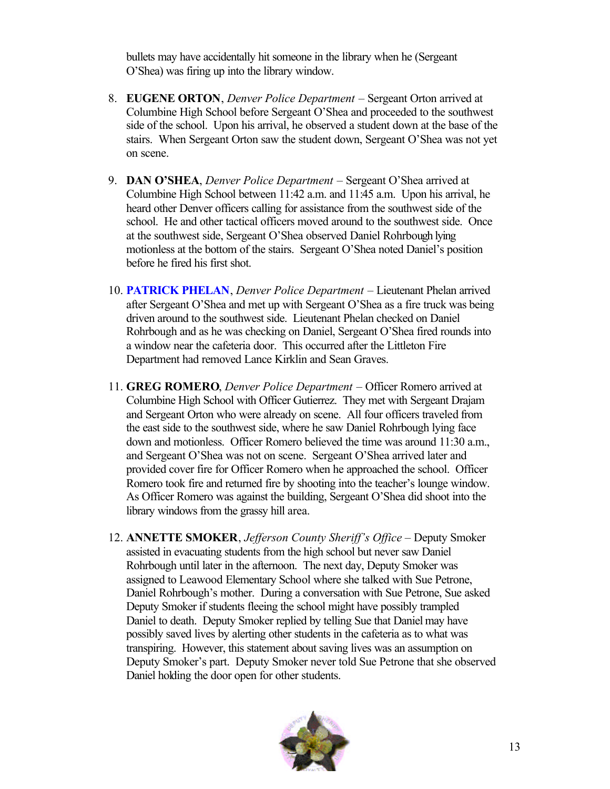bullets may have accidentally hit someone in the library when he (Sergeant O'Shea) was firing up into the library window.

- 8. **EUGENE ORTON**, *Denver Police Department* Sergeant Orton arrived at Columbine High School before Sergeant O'Shea and proceeded to the southwest side of the school. Upon his arrival, he observed a student down at the base of the stairs. When Sergeant Orton saw the student down, Sergeant O'Shea was not yet on scene.
- 9. **DAN O'SHEA**, *Denver Police Department* Sergeant O'Shea arrived at Columbine High School between 11:42 a.m. and 11:45 a.m. Upon his arrival, he heard other Denver officers calling for assistance from the southwest side of the school. He and other tactical officers moved around to the southwest side. Once at the southwest side, Sergeant O'Shea observed Daniel Rohrbough lying motionless at the bottom of the stairs. Sergeant O'Shea noted Daniel's position before he fired his first shot.
- 10. **PATRICK PHELAN**, *Denver Police Department* Lieutenant Phelan arrived after Sergeant O'Shea and met up with Sergeant O'Shea as a fire truck was being driven around to the southwest side. Lieutenant Phelan checked on Daniel Rohrbough and as he was checking on Daniel, Sergeant O'Shea fired rounds into a window near the cafeteria door. This occurred after the Littleton Fire Department had removed Lance Kirklin and Sean Graves.
- 11. **GREG ROMERO**, *Denver Police Department* Officer Romero arrived at Columbine High School with Officer Gutierrez. They met with Sergeant Drajam and Sergeant Orton who were already on scene. All four officers traveled from the east side to the southwest side, where he saw Daniel Rohrbough lying face down and motionless. Officer Romero believed the time was around 11:30 a.m., and Sergeant O'Shea was not on scene. Sergeant O'Shea arrived later and provided cover fire for Officer Romero when he approached the school. Officer Romero took fire and returned fire by shooting into the teacher's lounge window. As Officer Romero was against the building, Sergeant O'Shea did shoot into the library windows from the grassy hill area.
- 12. **ANNETTE SMOKER**, *Jefferson County Sheriff's Office* Deputy Smoker assisted in evacuating students from the high school but never saw Daniel Rohrbough until later in the afternoon. The next day, Deputy Smoker was assigned to Leawood Elementary School where she talked with Sue Petrone, Daniel Rohrbough's mother. During a conversation with Sue Petrone, Sue asked Deputy Smoker if students fleeing the school might have possibly trampled Daniel to death. Deputy Smoker replied by telling Sue that Daniel may have possibly saved lives by alerting other students in the cafeteria as to what was transpiring. However, this statement about saving lives was an assumption on Deputy Smoker's part. Deputy Smoker never told Sue Petrone that she observed Daniel holding the door open for other students.

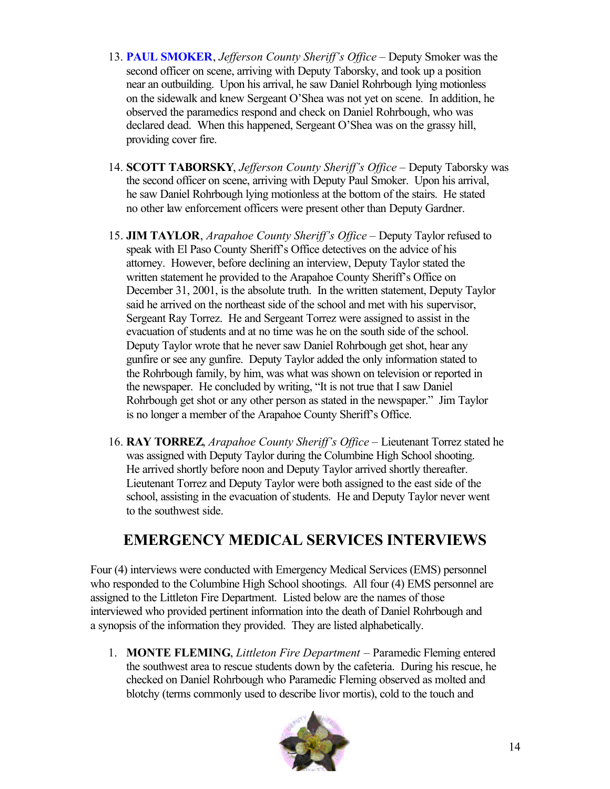- 13. **PAUL SMOKER**, *Jefferson County Sheriff's Office* Deputy Smoker was the second officer on scene, arriving with Deputy Taborsky, and took up a position near an outbuilding. Upon his arrival, he saw Daniel Rohrbough lying motionless on the sidewalk and knew Sergeant O'Shea was not yet on scene. In addition, he observed the paramedics respond and check on Daniel Rohrbough, who was declared dead. When this happened, Sergeant O'Shea was on the grassy hill, providing cover fire.
- 14. **SCOTT TABORSKY**, *Jefferson County Sheriff's Office* Deputy Taborsky was the second officer on scene, arriving with Deputy Paul Smoker. Upon his arrival, he saw Daniel Rohrbough lying motionless at the bottom of the stairs. He stated no other law enforcement officers were present other than Deputy Gardner.
- 15. **JIM TAYLOR**, *Arapahoe County Sheriff's Office* Deputy Taylor refused to speak with El Paso County Sheriff's Office detectives on the advice of his attorney. However, before declining an interview, Deputy Taylor stated the written statement he provided to the Arapahoe County Sheriff's Office on December 31, 2001, is the absolute truth. In the written statement, Deputy Taylor said he arrived on the northeast side of the school and met with his supervisor, Sergeant Ray Torrez. He and Sergeant Torrez were assigned to assist in the evacuation of students and at no time was he on the south side of the school. Deputy Taylor wrote that he never saw Daniel Rohrbough get shot, hear any gunfire or see any gunfire. Deputy Taylor added the only information stated to the Rohrbough family, by him, was what was shown on television or reported in the newspaper. He concluded by writing, "It is not true that I saw Daniel Rohrbough get shot or any other person as stated in the newspaper." Jim Taylor is no longer a member of the Arapahoe County Sheriff's Office.
- 16. **RAY TORREZ**, *Arapahoe County Sheriff's Office* Lieutenant Torrez stated he was assigned with Deputy Taylor during the Columbine High School shooting. He arrived shortly before noon and Deputy Taylor arrived shortly thereafter. Lieutenant Torrez and Deputy Taylor were both assigned to the east side of the school, assisting in the evacuation of students. He and Deputy Taylor never went to the southwest side.

### **EMERGENCY MEDICAL SERVICES INTERVIEWS**

Four (4) interviews were conducted with Emergency Medical Services (EMS) personnel who responded to the Columbine High School shootings. All four (4) EMS personnel are assigned to the Littleton Fire Department. Listed below are the names of those interviewed who provided pertinent information into the death of Daniel Rohrbough and a synopsis of the information they provided. They are listed alphabetically.

1. **MONTE FLEMING**, *Littleton Fire Department* – Paramedic Fleming entered the southwest area to rescue students down by the cafeteria. During his rescue, he checked on Daniel Rohrbough who Paramedic Fleming observed as molted and blotchy (terms commonly used to describe livor mortis), cold to the touch and

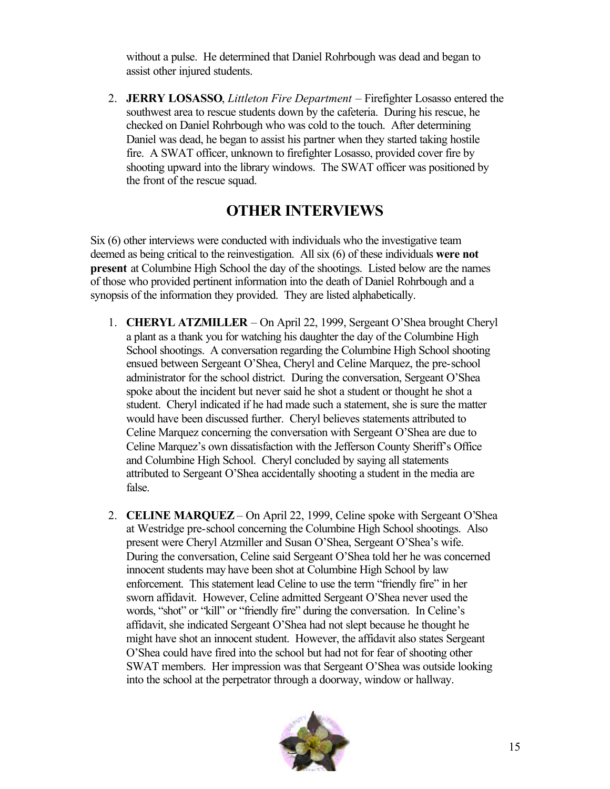without a pulse. He determined that Daniel Rohrbough was dead and began to assist other injured students.

2. **JERRY LOSASSO**, *Littleton Fire Department* – Firefighter Losasso entered the southwest area to rescue students down by the cafeteria. During his rescue, he checked on Daniel Rohrbough who was cold to the touch. After determining Daniel was dead, he began to assist his partner when they started taking hostile fire. A SWAT officer, unknown to firefighter Losasso, provided cover fire by shooting upward into the library windows. The SWAT officer was positioned by the front of the rescue squad.

### **OTHER INTERVIEWS**

Six (6) other interviews were conducted with individuals who the investigative team deemed as being critical to the reinvestigation. All six (6) of these individuals **were not present** at Columbine High School the day of the shootings. Listed below are the names of those who provided pertinent information into the death of Daniel Rohrbough and a synopsis of the information they provided. They are listed alphabetically.

- 1. **CHERYL ATZMILLER** On April 22, 1999, Sergeant O'Shea brought Cheryl a plant as a thank you for watching his daughter the day of the Columbine High School shootings. A conversation regarding the Columbine High School shooting ensued between Sergeant O'Shea, Cheryl and Celine Marquez, the pre-school administrator for the school district. During the conversation, Sergeant O'Shea spoke about the incident but never said he shot a student or thought he shot a student. Cheryl indicated if he had made such a statement, she is sure the matter would have been discussed further. Cheryl believes statements attributed to Celine Marquez concerning the conversation with Sergeant O'Shea are due to Celine Marquez's own dissatisfaction with the Jefferson County Sheriff's Office and Columbine High School. Cheryl concluded by saying all statements attributed to Sergeant O'Shea accidentally shooting a student in the media are false.
- 2. **CELINE MARQUEZ** On April 22, 1999, Celine spoke with Sergeant O'Shea at Westridge pre-school concerning the Columbine High School shootings. Also present were Cheryl Atzmiller and Susan O'Shea, Sergeant O'Shea's wife. During the conversation, Celine said Sergeant O'Shea told her he was concerned innocent students may have been shot at Columbine High School by law enforcement. This statement lead Celine to use the term "friendly fire" in her sworn affidavit. However, Celine admitted Sergeant O'Shea never used the words, "shot" or "kill" or "friendly fire" during the conversation. In Celine's affidavit, she indicated Sergeant O'Shea had not slept because he thought he might have shot an innocent student. However, the affidavit also states Sergeant O'Shea could have fired into the school but had not for fear of shooting other SWAT members. Her impression was that Sergeant O'Shea was outside looking into the school at the perpetrator through a doorway, window or hallway.

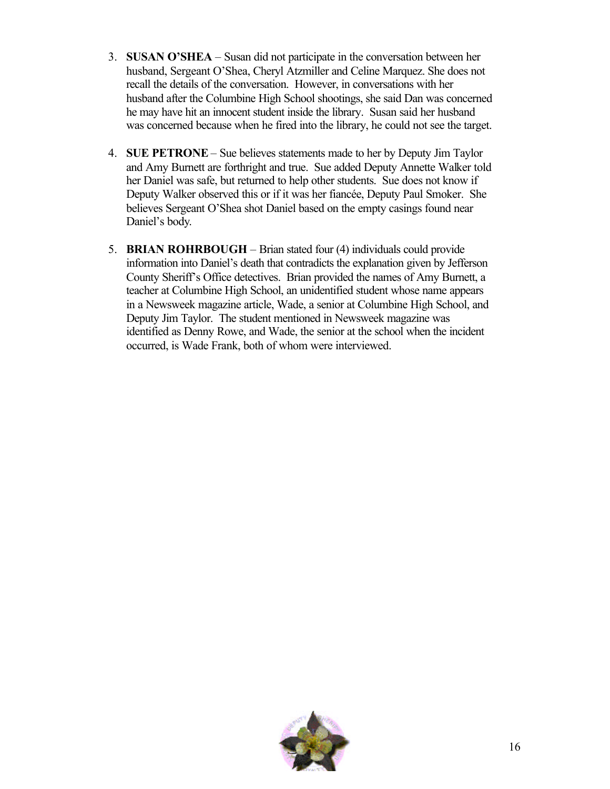- 3. **SUSAN O'SHEA** Susan did not participate in the conversation between her husband, Sergeant O'Shea, Cheryl Atzmiller and Celine Marquez. She does not recall the details of the conversation. However, in conversations with her husband after the Columbine High School shootings, she said Dan was concerned he may have hit an innocent student inside the library. Susan said her husband was concerned because when he fired into the library, he could not see the target.
- 4. **SUE PETRONE** Sue believes statements made to her by Deputy Jim Taylor and Amy Burnett are forthright and true. Sue added Deputy Annette Walker told her Daniel was safe, but returned to help other students. Sue does not know if Deputy Walker observed this or if it was her fiancée, Deputy Paul Smoker. She believes Sergeant O'Shea shot Daniel based on the empty casings found near Daniel's body.
- 5. **BRIAN ROHRBOUGH** Brian stated four (4) individuals could provide information into Daniel's death that contradicts the explanation given by Jefferson County Sheriff's Office detectives. Brian provided the names of Amy Burnett, a teacher at Columbine High School, an unidentified student whose name appears in a Newsweek magazine article, Wade, a senior at Columbine High School, and Deputy Jim Taylor. The student mentioned in Newsweek magazine was identified as Denny Rowe, and Wade, the senior at the school when the incident occurred, is Wade Frank, both of whom were interviewed.

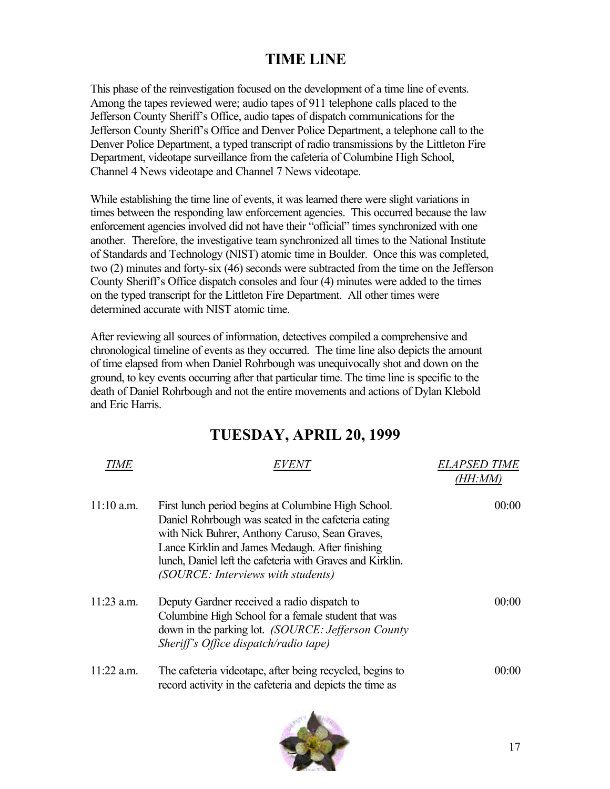### **TIME LINE**

This phase of the reinvestigation focused on the development of a time line of events. Among the tapes reviewed were; audio tapes of 911 telephone calls placed to the Jefferson County Sheriff's Office, audio tapes of dispatch communications for the Jefferson County Sheriff's Office and Denver Police Department, a telephone call to the Denver Police Department, a typed transcript of radio transmissions by the Littleton Fire Department, videotape surveillance from the cafeteria of Columbine High School, Channel 4 News videotape and Channel 7 News videotape.

While establishing the time line of events, it was learned there were slight variations in times between the responding law enforcement agencies. This occurred because the law enforcement agencies involved did not have their "official" times synchronized with one another. Therefore, the investigative team synchronized all times to the National Institute of Standards and Technology (NIST) atomic time in Boulder. Once this was completed, two (2) minutes and forty-six (46) seconds were subtracted from the time on the Jefferson County Sheriff's Office dispatch consoles and four (4) minutes were added to the times on the typed transcript for the Littleton Fire Department. All other times were determined accurate with NIST atomic time.

After reviewing all sources of information, detectives compiled a comprehensive and chronological timeline of events as they occurred. The time line also depicts the amount of time elapsed from when Daniel Rohrbough was unequivocally shot and down on the ground, to key events occurring after that particular time. The time line is specific to the death of Daniel Rohrbough and not the entire movements and actions of Dylan Klebold and Eric Harris.

### **TUESDAY, APRIL 20, 1999**

| TIME         | <i>EVENT</i>                                                                                                                                                                                                                                                                                                        | <b>ELAPSED TIME</b><br>(HH:MM) |
|--------------|---------------------------------------------------------------------------------------------------------------------------------------------------------------------------------------------------------------------------------------------------------------------------------------------------------------------|--------------------------------|
| $11:10$ a.m. | First lunch period begins at Columbine High School.<br>Daniel Rohrbough was seated in the cafeteria eating<br>with Nick Buhrer, Anthony Caruso, Sean Graves,<br>Lance Kirklin and James Medaugh. After finishing<br>lunch, Daniel left the cafeteria with Graves and Kirklin.<br>(SOURCE: Interviews with students) | 00:00                          |
| $11:23$ a.m. | Deputy Gardner received a radio dispatch to<br>Columbine High School for a female student that was<br>down in the parking lot. (SOURCE: Jefferson County<br>Sheriff's Office dispatch/radio tape)                                                                                                                   | 00.00                          |
| $11:22$ a.m. | The cafeteria videotape, after being recycled, begins to<br>record activity in the cafeteria and depicts the time as                                                                                                                                                                                                | 00.00                          |

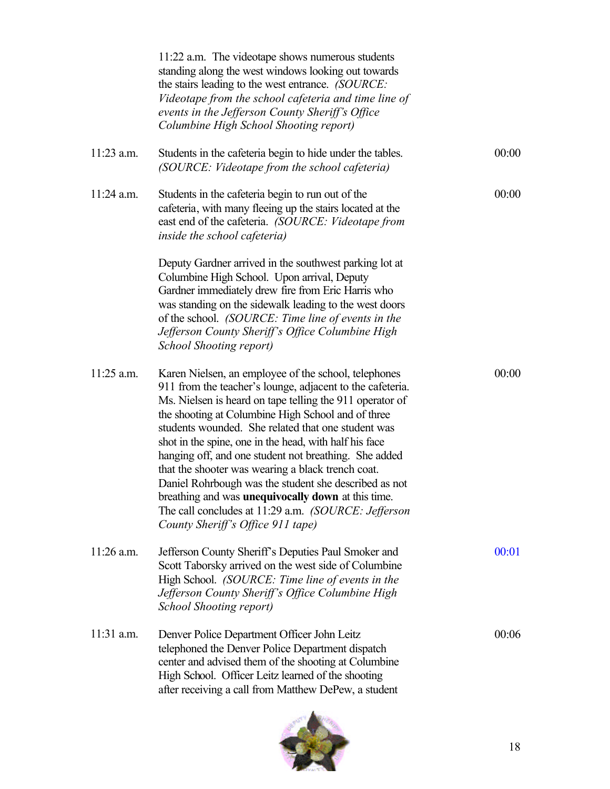|              | 11:22 a.m. The videotape shows numerous students<br>standing along the west windows looking out towards<br>the stairs leading to the west entrance. (SOURCE:<br>Videotape from the school cafeteria and time line of<br>events in the Jefferson County Sheriff's Office<br>Columbine High School Shooting report)                                                                                                                                                                                                                                                                                                                                                            |       |
|--------------|------------------------------------------------------------------------------------------------------------------------------------------------------------------------------------------------------------------------------------------------------------------------------------------------------------------------------------------------------------------------------------------------------------------------------------------------------------------------------------------------------------------------------------------------------------------------------------------------------------------------------------------------------------------------------|-------|
| $11:23$ a.m. | Students in the cafeteria begin to hide under the tables.<br>(SOURCE: Videotape from the school cafeteria)                                                                                                                                                                                                                                                                                                                                                                                                                                                                                                                                                                   | 00:00 |
| $11:24$ a.m. | Students in the cafeteria begin to run out of the<br>cafeteria, with many fleeing up the stairs located at the<br>east end of the cafeteria. (SOURCE: Videotape from<br><i>inside the school cafeteria</i> )                                                                                                                                                                                                                                                                                                                                                                                                                                                                 | 00:00 |
|              | Deputy Gardner arrived in the southwest parking lot at<br>Columbine High School. Upon arrival, Deputy<br>Gardner immediately drew fire from Eric Harris who<br>was standing on the sidewalk leading to the west doors<br>of the school. (SOURCE: Time line of events in the<br>Jefferson County Sheriff's Office Columbine High<br>School Shooting report)                                                                                                                                                                                                                                                                                                                   |       |
| 11:25 a.m.   | Karen Nielsen, an employee of the school, telephones<br>911 from the teacher's lounge, adjacent to the cafeteria.<br>Ms. Nielsen is heard on tape telling the 911 operator of<br>the shooting at Columbine High School and of three<br>students wounded. She related that one student was<br>shot in the spine, one in the head, with half his face<br>hanging off, and one student not breathing. She added<br>that the shooter was wearing a black trench coat.<br>Daniel Rohrbough was the student she described as not<br>breathing and was unequivocally down at this time.<br>The call concludes at 11:29 a.m. (SOURCE: Jefferson<br>County Sheriff's Office 911 tape) | 00:00 |
| $11:26$ a.m. | Jefferson County Sheriff's Deputies Paul Smoker and<br>Scott Taborsky arrived on the west side of Columbine<br>High School. (SOURCE: Time line of events in the<br>Jefferson County Sheriff's Office Columbine High<br>School Shooting report)                                                                                                                                                                                                                                                                                                                                                                                                                               | 00:01 |
| $11:31$ a.m. | Denver Police Department Officer John Leitz<br>telephoned the Denver Police Department dispatch<br>center and advised them of the shooting at Columbine<br>High School. Officer Leitz learned of the shooting<br>after receiving a call from Matthew DePew, a student                                                                                                                                                                                                                                                                                                                                                                                                        | 00:06 |

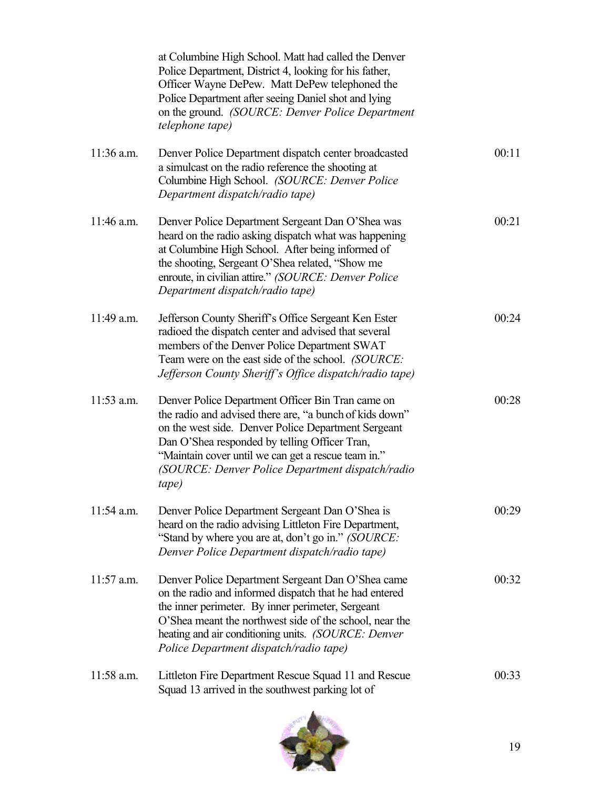|              | at Columbine High School. Matt had called the Denver<br>Police Department, District 4, looking for his father,<br>Officer Wayne DePew. Matt DePew telephoned the<br>Police Department after seeing Daniel shot and lying<br>on the ground. (SOURCE: Denver Police Department<br><i>telephone tape)</i>                                   |       |
|--------------|------------------------------------------------------------------------------------------------------------------------------------------------------------------------------------------------------------------------------------------------------------------------------------------------------------------------------------------|-------|
| $11:36$ a.m. | Denver Police Department dispatch center broadcasted<br>a simulcast on the radio reference the shooting at<br>Columbine High School. (SOURCE: Denver Police<br>Department dispatch/radio tape)                                                                                                                                           | 00:11 |
| 11:46 a.m.   | Denver Police Department Sergeant Dan O'Shea was<br>heard on the radio asking dispatch what was happening<br>at Columbine High School. After being informed of<br>the shooting, Sergeant O'Shea related, "Show me<br>enroute, in civilian attire." (SOURCE: Denver Police<br>Department dispatch/radio tape)                             | 00:21 |
| 11:49 a.m.   | Jefferson County Sheriff's Office Sergeant Ken Ester<br>radioed the dispatch center and advised that several<br>members of the Denver Police Department SWAT<br>Team were on the east side of the school. (SOURCE:<br>Jefferson County Sheriff's Office dispatch/radio tape)                                                             | 00:24 |
| $11:53$ a.m. | Denver Police Department Officer Bin Tran came on<br>the radio and advised there are, "a bunch of kids down"<br>on the west side. Denver Police Department Sergeant<br>Dan O'Shea responded by telling Officer Tran,<br>"Maintain cover until we can get a rescue team in."<br>(SOURCE: Denver Police Department dispatch/radio<br>tape) | 00:28 |
| $11:54$ a.m. | Denver Police Department Sergeant Dan O'Shea is<br>heard on the radio advising Littleton Fire Department,<br>"Stand by where you are at, don't go in." (SOURCE:<br>Denver Police Department dispatch/radio tape)                                                                                                                         | 00:29 |
| 11:57 a.m.   | Denver Police Department Sergeant Dan O'Shea came<br>on the radio and informed dispatch that he had entered<br>the inner perimeter. By inner perimeter, Sergeant<br>O'Shea meant the northwest side of the school, near the<br>heating and air conditioning units. (SOURCE: Denver<br>Police Department dispatch/radio tape)             | 00:32 |
| $11:58$ a.m. | Littleton Fire Department Rescue Squad 11 and Rescue<br>Squad 13 arrived in the southwest parking lot of                                                                                                                                                                                                                                 | 00:33 |

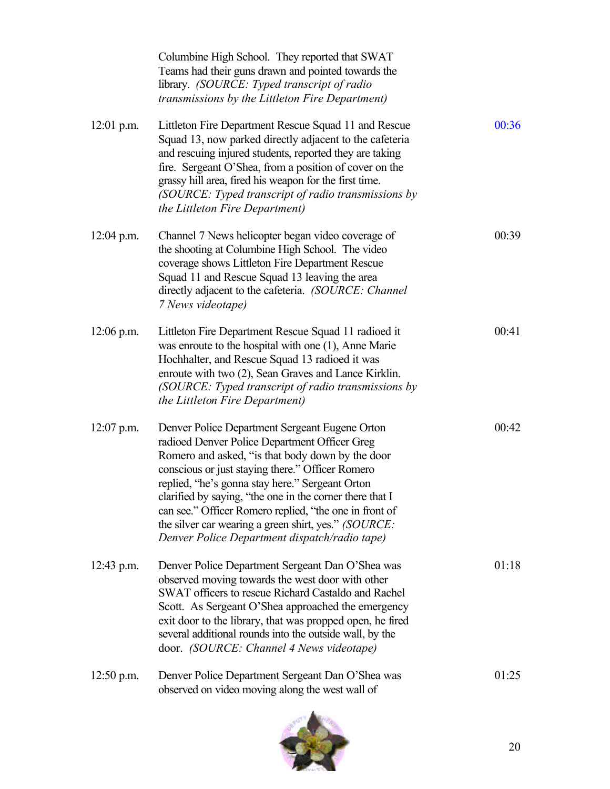|              | Columbine High School. They reported that SWAT<br>Teams had their guns drawn and pointed towards the<br>library. (SOURCE: Typed transcript of radio<br>transmissions by the Littleton Fire Department)                                                                                                                                                                                                                                                                                    |       |
|--------------|-------------------------------------------------------------------------------------------------------------------------------------------------------------------------------------------------------------------------------------------------------------------------------------------------------------------------------------------------------------------------------------------------------------------------------------------------------------------------------------------|-------|
| $12:01$ p.m. | Littleton Fire Department Rescue Squad 11 and Rescue<br>Squad 13, now parked directly adjacent to the cafeteria<br>and rescuing injured students, reported they are taking<br>fire. Sergeant O'Shea, from a position of cover on the<br>grassy hill area, fired his weapon for the first time.<br>(SOURCE: Typed transcript of radio transmissions by<br>the Littleton Fire Department)                                                                                                   | 00:36 |
| $12:04$ p.m. | Channel 7 News helicopter began video coverage of<br>the shooting at Columbine High School. The video<br>coverage shows Littleton Fire Department Rescue<br>Squad 11 and Rescue Squad 13 leaving the area<br>directly adjacent to the cafeteria. (SOURCE: Channel<br>7 News videotape)                                                                                                                                                                                                    | 00:39 |
| $12:06$ p.m. | Littleton Fire Department Rescue Squad 11 radioed it<br>was enroute to the hospital with one (1), Anne Marie<br>Hochhalter, and Rescue Squad 13 radioed it was<br>enroute with two (2), Sean Graves and Lance Kirklin.<br>(SOURCE: Typed transcript of radio transmissions by<br>the Littleton Fire Department)                                                                                                                                                                           | 00:41 |
| $12:07$ p.m. | Denver Police Department Sergeant Eugene Orton<br>radioed Denver Police Department Officer Greg<br>Romero and asked, "is that body down by the door<br>conscious or just staying there." Officer Romero<br>replied, "he's gonna stay here." Sergeant Orton<br>clarified by saying, "the one in the corner there that I<br>can see." Officer Romero replied, "the one in front of<br>the silver car wearing a green shirt, yes." (SOURCE:<br>Denver Police Department dispatch/radio tape) | 00:42 |
| $12:43$ p.m. | Denver Police Department Sergeant Dan O'Shea was<br>observed moving towards the west door with other<br>SWAT officers to rescue Richard Castaldo and Rachel<br>Scott. As Sergeant O'Shea approached the emergency<br>exit door to the library, that was propped open, he fired<br>several additional rounds into the outside wall, by the<br>door. (SOURCE: Channel 4 News videotape)                                                                                                     | 01:18 |
| $12:50$ p.m. | Denver Police Department Sergeant Dan O'Shea was<br>observed on video moving along the west wall of                                                                                                                                                                                                                                                                                                                                                                                       | 01:25 |

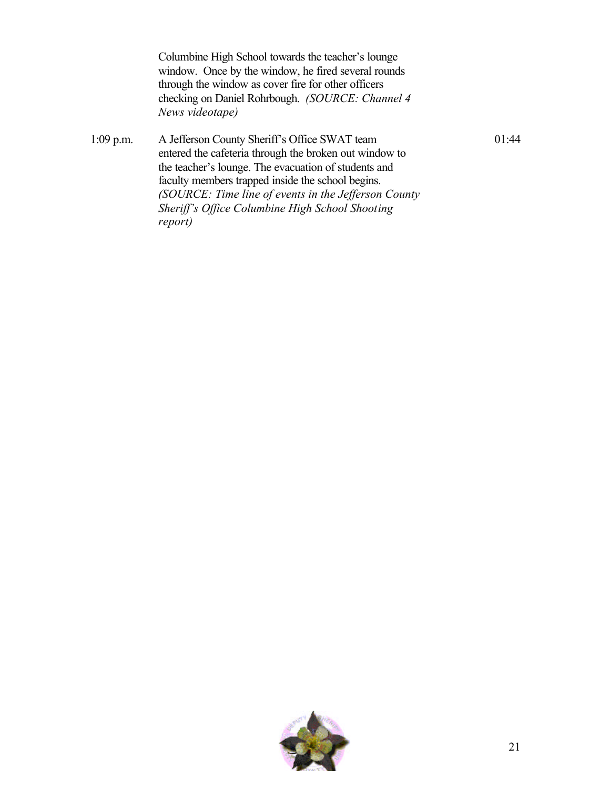Columbine High School towards the teacher's lounge window. Once by the window, he fired several rounds through the window as cover fire for other officers checking on Daniel Rohrbough. *(SOURCE: Channel 4 News videotape)*

1:09 p.m. A Jefferson County Sheriff's Office SWAT team entered the cafeteria through the broken out window to the teacher's lounge. The evacuation of students and faculty members trapped inside the school begins. *(SOURCE: Time line of events in the Jefferson County Sheriff's Office Columbine High School Shooting report)*



01:44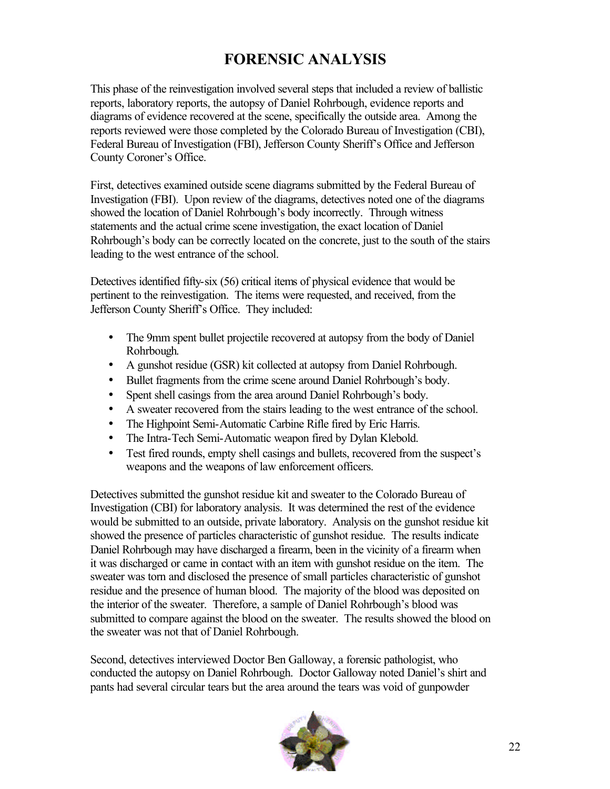# **FORENSIC ANALYSIS**

This phase of the reinvestigation involved several steps that included a review of ballistic reports, laboratory reports, the autopsy of Daniel Rohrbough, evidence reports and diagrams of evidence recovered at the scene, specifically the outside area. Among the reports reviewed were those completed by the Colorado Bureau of Investigation (CBI), Federal Bureau of Investigation (FBI), Jefferson County Sheriff's Office and Jefferson County Coroner's Office.

First, detectives examined outside scene diagrams submitted by the Federal Bureau of Investigation (FBI). Upon review of the diagrams, detectives noted one of the diagrams showed the location of Daniel Rohrbough's body incorrectly. Through witness statements and the actual crime scene investigation, the exact location of Daniel Rohrbough's body can be correctly located on the concrete, just to the south of the stairs leading to the west entrance of the school.

Detectives identified fifty-six (56) critical items of physical evidence that would be pertinent to the reinvestigation. The items were requested, and received, from the Jefferson County Sheriff's Office. They included:

- The 9mm spent bullet projectile recovered at autopsy from the body of Daniel Rohrbough.
- A gunshot residue (GSR) kit collected at autopsy from Daniel Rohrbough.
- Bullet fragments from the crime scene around Daniel Rohrbough's body.
- Spent shell casings from the area around Daniel Rohrbough's body.
- A sweater recovered from the stairs leading to the west entrance of the school.
- The Highpoint Semi-Automatic Carbine Rifle fired by Eric Harris.
- The Intra-Tech Semi-Automatic weapon fired by Dylan Klebold.
- Test fired rounds, empty shell casings and bullets, recovered from the suspect's weapons and the weapons of law enforcement officers.

Detectives submitted the gunshot residue kit and sweater to the Colorado Bureau of Investigation (CBI) for laboratory analysis. It was determined the rest of the evidence would be submitted to an outside, private laboratory. Analysis on the gunshot residue kit showed the presence of particles characteristic of gunshot residue. The results indicate Daniel Rohrbough may have discharged a firearm, been in the vicinity of a firearm when it was discharged or came in contact with an item with gunshot residue on the item. The sweater was torn and disclosed the presence of small particles characteristic of gunshot residue and the presence of human blood. The majority of the blood was deposited on the interior of the sweater. Therefore, a sample of Daniel Rohrbough's blood was submitted to compare against the blood on the sweater. The results showed the blood on the sweater was not that of Daniel Rohrbough.

Second, detectives interviewed Doctor Ben Galloway, a forensic pathologist, who conducted the autopsy on Daniel Rohrbough. Doctor Galloway noted Daniel's shirt and pants had several circular tears but the area around the tears was void of gunpowder

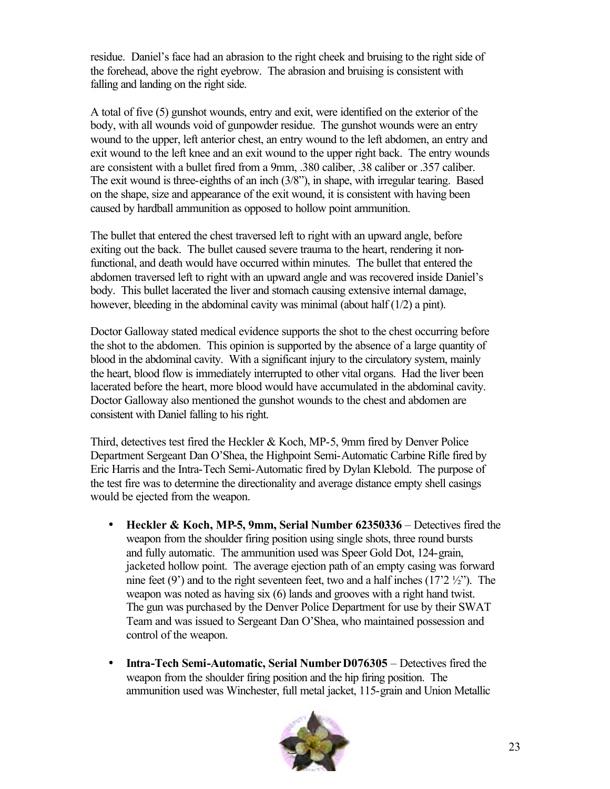residue. Daniel's face had an abrasion to the right cheek and bruising to the right side of the forehead, above the right eyebrow. The abrasion and bruising is consistent with falling and landing on the right side.

A total of five (5) gunshot wounds, entry and exit, were identified on the exterior of the body, with all wounds void of gunpowder residue. The gunshot wounds were an entry wound to the upper, left anterior chest, an entry wound to the left abdomen, an entry and exit wound to the left knee and an exit wound to the upper right back. The entry wounds are consistent with a bullet fired from a 9mm, .380 caliber, .38 caliber or .357 caliber. The exit wound is three-eighths of an inch (3/8"), in shape, with irregular tearing. Based on the shape, size and appearance of the exit wound, it is consistent with having been caused by hardball ammunition as opposed to hollow point ammunition.

The bullet that entered the chest traversed left to right with an upward angle, before exiting out the back. The bullet caused severe trauma to the heart, rendering it nonfunctional, and death would have occurred within minutes. The bullet that entered the abdomen traversed left to right with an upward angle and was recovered inside Daniel's body. This bullet lacerated the liver and stomach causing extensive internal damage, however, bleeding in the abdominal cavity was minimal (about half (1/2) a pint).

Doctor Galloway stated medical evidence supports the shot to the chest occurring before the shot to the abdomen. This opinion is supported by the absence of a large quantity of blood in the abdominal cavity. With a significant injury to the circulatory system, mainly the heart, blood flow is immediately interrupted to other vital organs. Had the liver been lacerated before the heart, more blood would have accumulated in the abdominal cavity. Doctor Galloway also mentioned the gunshot wounds to the chest and abdomen are consistent with Daniel falling to his right.

Third, detectives test fired the Heckler & Koch, MP-5, 9mm fired by Denver Police Department Sergeant Dan O'Shea, the Highpoint Semi-Automatic Carbine Rifle fired by Eric Harris and the Intra-Tech Semi-Automatic fired by Dylan Klebold. The purpose of the test fire was to determine the directionality and average distance empty shell casings would be ejected from the weapon.

- **Heckler & Koch, MP-5, 9mm, Serial Number 62350336** Detectives fired the weapon from the shoulder firing position using single shots, three round bursts and fully automatic. The ammunition used was Speer Gold Dot, 124-grain, jacketed hollow point. The average ejection path of an empty casing was forward nine feet  $(9')$  and to the right seventeen feet, two and a half inches  $(17'2'2'')$ . The weapon was noted as having six (6) lands and grooves with a right hand twist. The gun was purchased by the Denver Police Department for use by their SWAT Team and was issued to Sergeant Dan O'Shea, who maintained possession and control of the weapon.
- **Intra-Tech Semi-Automatic, Serial Number D076305** Detectives fired the weapon from the shoulder firing position and the hip firing position. The ammunition used was Winchester, full metal jacket, 115-grain and Union Metallic

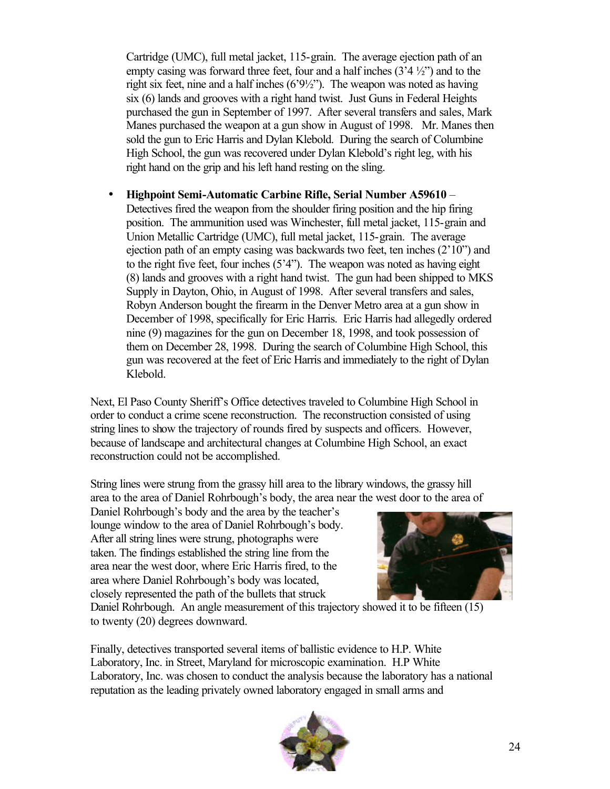Cartridge (UMC), full metal jacket, 115-grain. The average ejection path of an empty casing was forward three feet, four and a half inches  $(3'4'_{2}')$  and to the right six feet, nine and a half inches (6'9½"). The weapon was noted as having six (6) lands and grooves with a right hand twist. Just Guns in Federal Heights purchased the gun in September of 1997. After several transfers and sales, Mark Manes purchased the weapon at a gun show in August of 1998. Mr. Manes then sold the gun to Eric Harris and Dylan Klebold. During the search of Columbine High School, the gun was recovered under Dylan Klebold's right leg, with his right hand on the grip and his left hand resting on the sling.

• **Highpoint Semi-Automatic Carbine Rifle, Serial Number A59610** – Detectives fired the weapon from the shoulder firing position and the hip firing position. The ammunition used was Winchester, full metal jacket, 115-grain and Union Metallic Cartridge (UMC), full metal jacket, 115-grain. The average ejection path of an empty casing was backwards two feet, ten inches (2'10") and to the right five feet, four inches (5'4"). The weapon was noted as having eight (8) lands and grooves with a right hand twist. The gun had been shipped to MKS Supply in Dayton, Ohio, in August of 1998. After several transfers and sales, Robyn Anderson bought the firearm in the Denver Metro area at a gun show in December of 1998, specifically for Eric Harris. Eric Harris had allegedly ordered nine (9) magazines for the gun on December 18, 1998, and took possession of them on December 28, 1998. During the search of Columbine High School, this gun was recovered at the feet of Eric Harris and immediately to the right of Dylan Klebold.

Next, El Paso County Sheriff's Office detectives traveled to Columbine High School in order to conduct a crime scene reconstruction. The reconstruction consisted of using string lines to show the trajectory of rounds fired by suspects and officers. However, because of landscape and architectural changes at Columbine High School, an exact reconstruction could not be accomplished.

String lines were strung from the grassy hill area to the library windows, the grassy hill area to the area of Daniel Rohrbough's body, the area near the west door to the area of

Daniel Rohrbough's body and the area by the teacher's lounge window to the area of Daniel Rohrbough's body. After all string lines were strung, photographs were taken. The findings established the string line from the area near the west door, where Eric Harris fired, to the area where Daniel Rohrbough's body was located, closely represented the path of the bullets that struck



Daniel Rohrbough. An angle measurement of this trajectory showed it to be fifteen (15) to twenty (20) degrees downward.

Finally, detectives transported several items of ballistic evidence to H.P. White Laboratory, Inc. in Street, Maryland for microscopic examination. H.P White Laboratory, Inc. was chosen to conduct the analysis because the laboratory has a national reputation as the leading privately owned laboratory engaged in small arms and

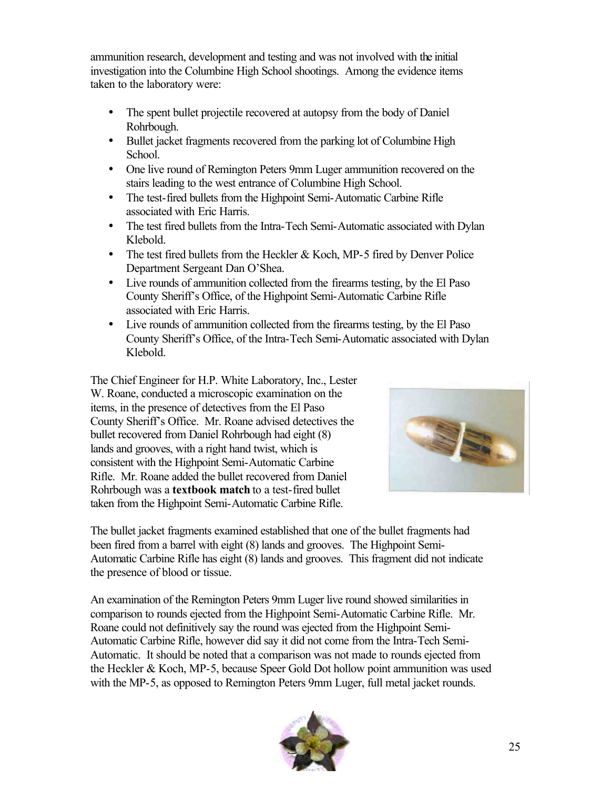ammunition research, development and testing and was not involved with the initial investigation into the Columbine High School shootings. Among the evidence items taken to the laboratory were:

- The spent bullet projectile recovered at autopsy from the body of Daniel Rohrbough.
- Bullet jacket fragments recovered from the parking lot of Columbine High School.
- One live round of Remington Peters 9mm Luger ammunition recovered on the stairs leading to the west entrance of Columbine High School.
- The test-fired bullets from the Highpoint Semi-Automatic Carbine Rifle associated with Eric Harris.
- The test fired bullets from the Intra-Tech Semi-Automatic associated with Dylan Klebold.
- The test fired bullets from the Heckler & Koch, MP-5 fired by Denver Police Department Sergeant Dan O'Shea.
- Live rounds of ammunition collected from the firearms testing, by the El Paso County Sheriff's Office, of the Highpoint Semi-Automatic Carbine Rifle associated with Eric Harris.
- Live rounds of ammunition collected from the firearms testing, by the El Paso County Sheriff's Office, of the Intra-Tech Semi-Automatic associated with Dylan Klebold.

The Chief Engineer for H.P. White Laboratory, Inc., Lester W. Roane, conducted a microscopic examination on the items, in the presence of detectives from the El Paso County Sheriff's Office. Mr. Roane advised detectives the bullet recovered from Daniel Rohrbough had eight (8) lands and grooves, with a right hand twist, which is consistent with the Highpoint Semi-Automatic Carbine Rifle. Mr. Roane added the bullet recovered from Daniel Rohrbough was a **textbook match** to a test-fired bullet taken from the Highpoint Semi-Automatic Carbine Rifle.



The bullet jacket fragments examined established that one of the bullet fragments had been fired from a barrel with eight (8) lands and grooves. The Highpoint Semi-Automatic Carbine Rifle has eight (8) lands and grooves. This fragment did not indicate the presence of blood or tissue.

An examination of the Remington Peters 9mm Luger live round showed similarities in comparison to rounds ejected from the Highpoint Semi-Automatic Carbine Rifle. Mr. Roane could not definitively say the round was ejected from the Highpoint Semi-Automatic Carbine Rifle, however did say it did not come from the Intra-Tech Semi-Automatic. It should be noted that a comparison was not made to rounds ejected from the Heckler & Koch, MP-5, because Speer Gold Dot hollow point ammunition was used with the MP-5, as opposed to Remington Peters 9mm Luger, full metal jacket rounds.

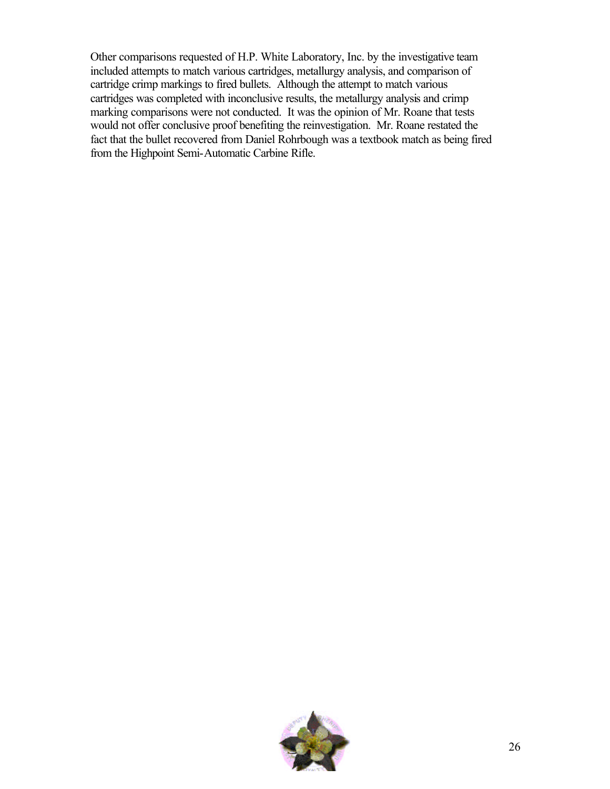Other comparisons requested of H.P. White Laboratory, Inc. by the investigative team included attempts to match various cartridges, metallurgy analysis, and comparison of cartridge crimp markings to fired bullets. Although the attempt to match various cartridges was completed with inconclusive results, the metallurgy analysis and crimp marking comparisons were not conducted. It was the opinion of Mr. Roane that tests would not offer conclusive proof benefiting the reinvestigation. Mr. Roane restated the fact that the bullet recovered from Daniel Rohrbough was a textbook match as being fired from the Highpoint Semi-Automatic Carbine Rifle.

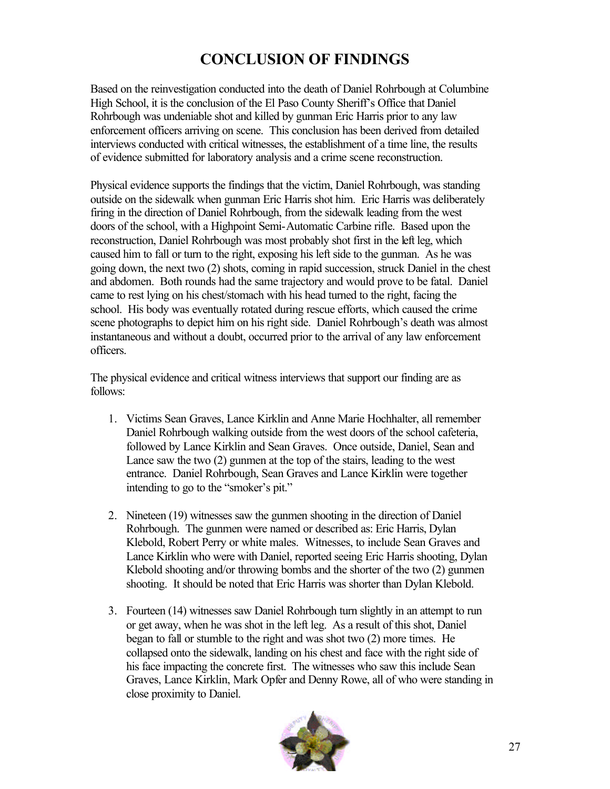# **CONCLUSION OF FINDINGS**

Based on the reinvestigation conducted into the death of Daniel Rohrbough at Columbine High School, it is the conclusion of the El Paso County Sheriff's Office that Daniel Rohrbough was undeniable shot and killed by gunman Eric Harris prior to any law enforcement officers arriving on scene. This conclusion has been derived from detailed interviews conducted with critical witnesses, the establishment of a time line, the results of evidence submitted for laboratory analysis and a crime scene reconstruction.

Physical evidence supports the findings that the victim, Daniel Rohrbough, was standing outside on the sidewalk when gunman Eric Harris shot him. Eric Harris was deliberately firing in the direction of Daniel Rohrbough, from the sidewalk leading from the west doors of the school, with a Highpoint Semi-Automatic Carbine rifle. Based upon the reconstruction, Daniel Rohrbough was most probably shot first in the left leg, which caused him to fall or turn to the right, exposing his left side to the gunman. As he was going down, the next two (2) shots, coming in rapid succession, struck Daniel in the chest and abdomen. Both rounds had the same trajectory and would prove to be fatal. Daniel came to rest lying on his chest/stomach with his head turned to the right, facing the school. His body was eventually rotated during rescue efforts, which caused the crime scene photographs to depict him on his right side. Daniel Rohrbough's death was almost instantaneous and without a doubt, occurred prior to the arrival of any law enforcement officers.

The physical evidence and critical witness interviews that support our finding are as follows:

- 1. Victims Sean Graves, Lance Kirklin and Anne Marie Hochhalter, all remember Daniel Rohrbough walking outside from the west doors of the school cafeteria, followed by Lance Kirklin and Sean Graves. Once outside, Daniel, Sean and Lance saw the two (2) gunmen at the top of the stairs, leading to the west entrance. Daniel Rohrbough, Sean Graves and Lance Kirklin were together intending to go to the "smoker's pit."
- 2. Nineteen (19) witnesses saw the gunmen shooting in the direction of Daniel Rohrbough. The gunmen were named or described as: Eric Harris, Dylan Klebold, Robert Perry or white males. Witnesses, to include Sean Graves and Lance Kirklin who were with Daniel, reported seeing Eric Harris shooting, Dylan Klebold shooting and/or throwing bombs and the shorter of the two (2) gunmen shooting. It should be noted that Eric Harris was shorter than Dylan Klebold.
- 3. Fourteen (14) witnesses saw Daniel Rohrbough turn slightly in an attempt to run or get away, when he was shot in the left leg. As a result of this shot, Daniel began to fall or stumble to the right and was shot two (2) more times. He collapsed onto the sidewalk, landing on his chest and face with the right side of his face impacting the concrete first. The witnesses who saw this include Sean Graves, Lance Kirklin, Mark Opfer and Denny Rowe, all of who were standing in close proximity to Daniel.

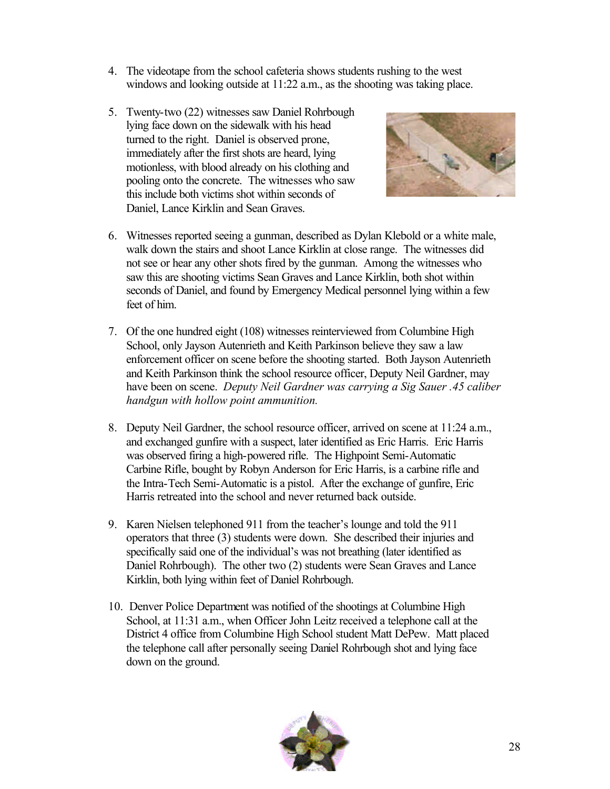- 4. The videotape from the school cafeteria shows students rushing to the west windows and looking outside at 11:22 a.m., as the shooting was taking place.
- 5. Twenty-two (22) witnesses saw Daniel Rohrbough lying face down on the sidewalk with his head turned to the right. Daniel is observed prone, immediately after the first shots are heard, lying motionless, with blood already on his clothing and pooling onto the concrete. The witnesses who saw this include both victims shot within seconds of Daniel, Lance Kirklin and Sean Graves.



- 6. Witnesses reported seeing a gunman, described as Dylan Klebold or a white male, walk down the stairs and shoot Lance Kirklin at close range. The witnesses did not see or hear any other shots fired by the gunman. Among the witnesses who saw this are shooting victims Sean Graves and Lance Kirklin, both shot within seconds of Daniel, and found by Emergency Medical personnel lying within a few feet of him.
- 7. Of the one hundred eight (108) witnesses reinterviewed from Columbine High School, only Jayson Autenrieth and Keith Parkinson believe they saw a law enforcement officer on scene before the shooting started. Both Jayson Autenrieth and Keith Parkinson think the school resource officer, Deputy Neil Gardner, may have been on scene. *Deputy Neil Gardner was carrying a Sig Sauer .45 caliber handgun with hollow point ammunition.*
- 8. Deputy Neil Gardner, the school resource officer, arrived on scene at 11:24 a.m., and exchanged gunfire with a suspect, later identified as Eric Harris. Eric Harris was observed firing a high-powered rifle. The Highpoint Semi-Automatic Carbine Rifle, bought by Robyn Anderson for Eric Harris, is a carbine rifle and the Intra-Tech Semi-Automatic is a pistol. After the exchange of gunfire, Eric Harris retreated into the school and never returned back outside.
- 9. Karen Nielsen telephoned 911 from the teacher's lounge and told the 911 operators that three (3) students were down. She described their injuries and specifically said one of the individual's was not breathing (later identified as Daniel Rohrbough). The other two (2) students were Sean Graves and Lance Kirklin, both lying within feet of Daniel Rohrbough.
- 10. Denver Police Department was notified of the shootings at Columbine High School, at 11:31 a.m., when Officer John Leitz received a telephone call at the District 4 office from Columbine High School student Matt DePew. Matt placed the telephone call after personally seeing Daniel Rohrbough shot and lying face down on the ground.

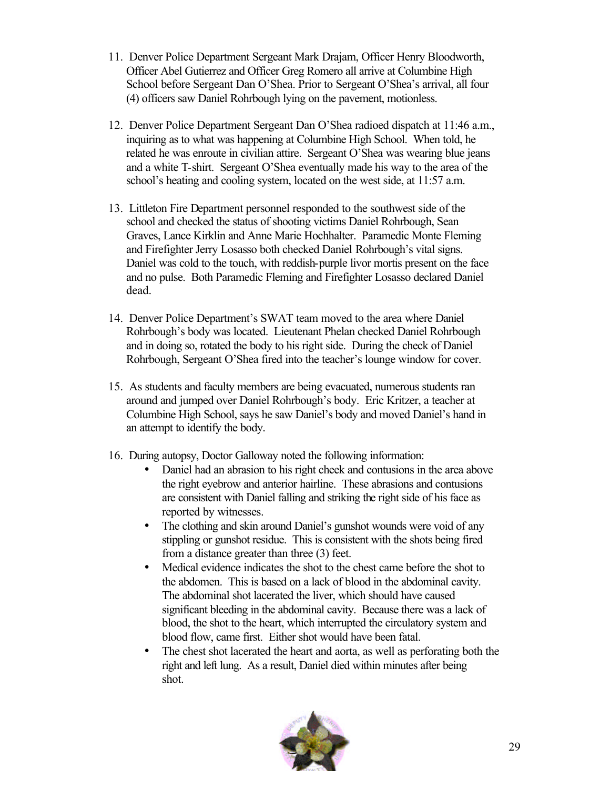- 11. Denver Police Department Sergeant Mark Drajam, Officer Henry Bloodworth, Officer Abel Gutierrez and Officer Greg Romero all arrive at Columbine High School before Sergeant Dan O'Shea. Prior to Sergeant O'Shea's arrival, all four (4) officers saw Daniel Rohrbough lying on the pavement, motionless.
- 12. Denver Police Department Sergeant Dan O'Shea radioed dispatch at 11:46 a.m., inquiring as to what was happening at Columbine High School. When told, he related he was enroute in civilian attire. Sergeant O'Shea was wearing blue jeans and a white T-shirt. Sergeant O'Shea eventually made his way to the area of the school's heating and cooling system, located on the west side, at 11:57 a.m.
- 13. Littleton Fire Department personnel responded to the southwest side of the school and checked the status of shooting victims Daniel Rohrbough, Sean Graves, Lance Kirklin and Anne Marie Hochhalter. Paramedic Monte Fleming and Firefighter Jerry Losasso both checked Daniel Rohrbough's vital signs. Daniel was cold to the touch, with reddish-purple livor mortis present on the face and no pulse. Both Paramedic Fleming and Firefighter Losasso declared Daniel dead.
- 14. Denver Police Department's SWAT team moved to the area where Daniel Rohrbough's body was located. Lieutenant Phelan checked Daniel Rohrbough and in doing so, rotated the body to his right side. During the check of Daniel Rohrbough, Sergeant O'Shea fired into the teacher's lounge window for cover.
- 15. As students and faculty members are being evacuated, numerous students ran around and jumped over Daniel Rohrbough's body. Eric Kritzer, a teacher at Columbine High School, says he saw Daniel's body and moved Daniel's hand in an attempt to identify the body.
- 16. During autopsy, Doctor Galloway noted the following information:
	- Daniel had an abrasion to his right cheek and contusions in the area above the right eyebrow and anterior hairline. These abrasions and contusions are consistent with Daniel falling and striking the right side of his face as reported by witnesses.
	- The clothing and skin around Daniel's gunshot wounds were void of any stippling or gunshot residue. This is consistent with the shots being fired from a distance greater than three (3) feet.
	- Medical evidence indicates the shot to the chest came before the shot to the abdomen. This is based on a lack of blood in the abdominal cavity. The abdominal shot lacerated the liver, which should have caused significant bleeding in the abdominal cavity. Because there was a lack of blood, the shot to the heart, which interrupted the circulatory system and blood flow, came first. Either shot would have been fatal.
	- The chest shot lacerated the heart and aorta, as well as perforating both the right and left lung. As a result, Daniel died within minutes after being shot.

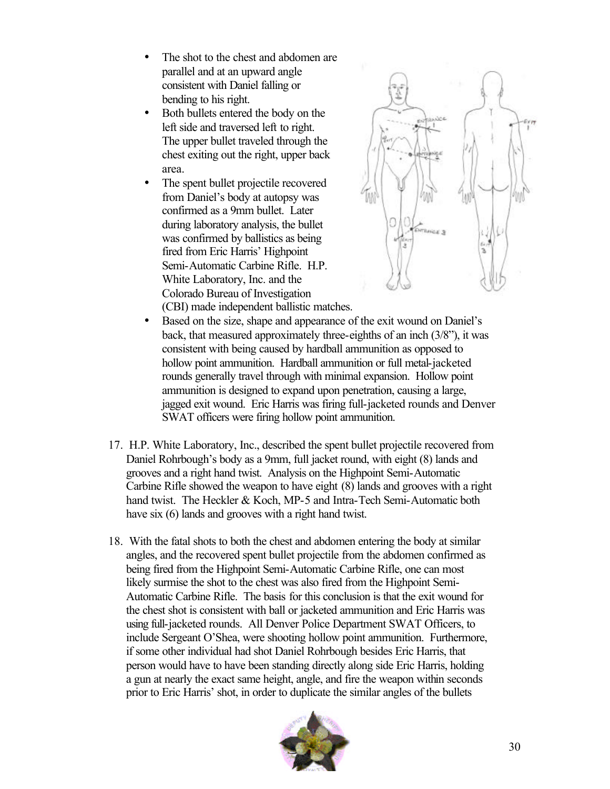- The shot to the chest and abdomen are parallel and at an upward angle consistent with Daniel falling or bending to his right.
- Both bullets entered the body on the left side and traversed left to right. The upper bullet traveled through the chest exiting out the right, upper back area.
- The spent bullet projectile recovered from Daniel's body at autopsy was confirmed as a 9mm bullet. Later during laboratory analysis, the bullet was confirmed by ballistics as being fired from Eric Harris' Highpoint Semi-Automatic Carbine Rifle. H.P. White Laboratory, Inc. and the Colorado Bureau of Investigation (CBI) made independent ballistic matches.



- Based on the size, shape and appearance of the exit wound on Daniel's back, that measured approximately three-eighths of an inch (3/8"), it was consistent with being caused by hardball ammunition as opposed to hollow point ammunition. Hardball ammunition or full metal-jacketed rounds generally travel through with minimal expansion. Hollow point ammunition is designed to expand upon penetration, causing a large, jagged exit wound. Eric Harris was firing full-jacketed rounds and Denver SWAT officers were firing hollow point ammunition.
- 17. H.P. White Laboratory, Inc., described the spent bullet projectile recovered from Daniel Rohrbough's body as a 9mm, full jacket round, with eight (8) lands and grooves and a right hand twist. Analysis on the Highpoint Semi-Automatic Carbine Rifle showed the weapon to have eight (8) lands and grooves with a right hand twist. The Heckler & Koch, MP-5 and Intra-Tech Semi-Automatic both have six  $(6)$  lands and grooves with a right hand twist.
- 18. With the fatal shots to both the chest and abdomen entering the body at similar angles, and the recovered spent bullet projectile from the abdomen confirmed as being fired from the Highpoint Semi-Automatic Carbine Rifle, one can most likely surmise the shot to the chest was also fired from the Highpoint Semi-Automatic Carbine Rifle. The basis for this conclusion is that the exit wound for the chest shot is consistent with ball or jacketed ammunition and Eric Harris was using full-jacketed rounds. All Denver Police Department SWAT Officers, to include Sergeant O'Shea, were shooting hollow point ammunition. Furthermore, if some other individual had shot Daniel Rohrbough besides Eric Harris, that person would have to have been standing directly along side Eric Harris, holding a gun at nearly the exact same height, angle, and fire the weapon within seconds prior to Eric Harris' shot, in order to duplicate the similar angles of the bullets

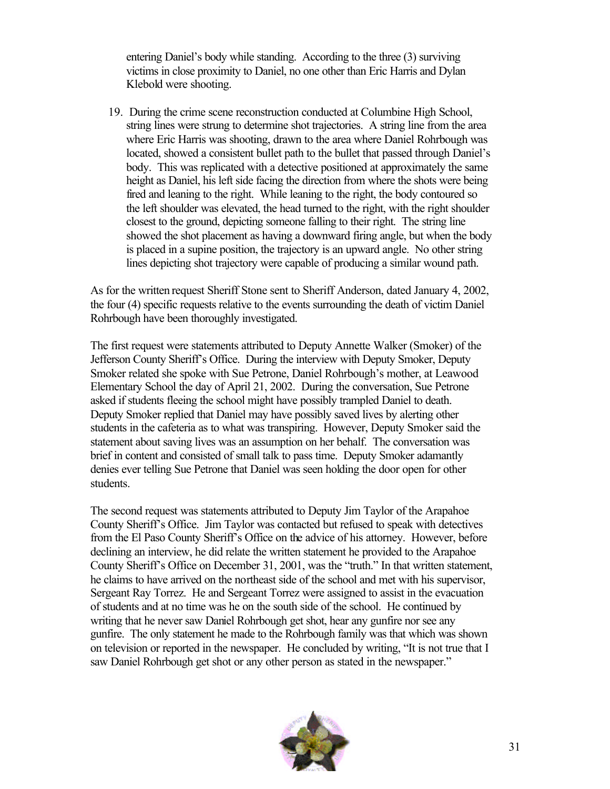entering Daniel's body while standing. According to the three (3) surviving victims in close proximity to Daniel, no one other than Eric Harris and Dylan Klebold were shooting.

19. During the crime scene reconstruction conducted at Columbine High School, string lines were strung to determine shot trajectories. A string line from the area where Eric Harris was shooting, drawn to the area where Daniel Rohrbough was located, showed a consistent bullet path to the bullet that passed through Daniel's body. This was replicated with a detective positioned at approximately the same height as Daniel, his left side facing the direction from where the shots were being fired and leaning to the right. While leaning to the right, the body contoured so the left shoulder was elevated, the head turned to the right, with the right shoulder closest to the ground, depicting someone falling to their right. The string line showed the shot placement as having a downward firing angle, but when the body is placed in a supine position, the trajectory is an upward angle. No other string lines depicting shot trajectory were capable of producing a similar wound path.

As for the written request Sheriff Stone sent to Sheriff Anderson, dated January 4, 2002, the four (4) specific requests relative to the events surrounding the death of victim Daniel Rohrbough have been thoroughly investigated.

The first request were statements attributed to Deputy Annette Walker (Smoker) of the Jefferson County Sheriff's Office. During the interview with Deputy Smoker, Deputy Smoker related she spoke with Sue Petrone, Daniel Rohrbough's mother, at Leawood Elementary School the day of April 21, 2002. During the conversation, Sue Petrone asked if students fleeing the school might have possibly trampled Daniel to death. Deputy Smoker replied that Daniel may have possibly saved lives by alerting other students in the cafeteria as to what was transpiring. However, Deputy Smoker said the statement about saving lives was an assumption on her behalf. The conversation was brief in content and consisted of small talk to pass time. Deputy Smoker adamantly denies ever telling Sue Petrone that Daniel was seen holding the door open for other students.

The second request was statements attributed to Deputy Jim Taylor of the Arapahoe County Sheriff's Office. Jim Taylor was contacted but refused to speak with detectives from the El Paso County Sheriff's Office on the advice of his attorney. However, before declining an interview, he did relate the written statement he provided to the Arapahoe County Sheriff's Office on December 31, 2001, was the "truth." In that written statement, he claims to have arrived on the northeast side of the school and met with his supervisor, Sergeant Ray Torrez. He and Sergeant Torrez were assigned to assist in the evacuation of students and at no time was he on the south side of the school. He continued by writing that he never saw Daniel Rohrbough get shot, hear any gunfire nor see any gunfire. The only statement he made to the Rohrbough family was that which was shown on television or reported in the newspaper. He concluded by writing, "It is not true that I saw Daniel Rohrbough get shot or any other person as stated in the newspaper."

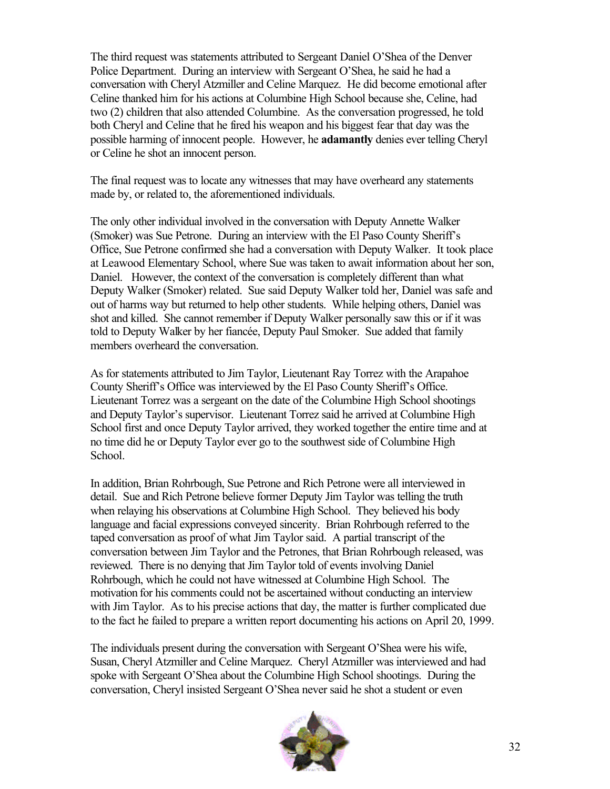The third request was statements attributed to Sergeant Daniel O'Shea of the Denver Police Department. During an interview with Sergeant O'Shea, he said he had a conversation with Cheryl Atzmiller and Celine Marquez. He did become emotional after Celine thanked him for his actions at Columbine High School because she, Celine, had two (2) children that also attended Columbine. As the conversation progressed, he told both Cheryl and Celine that he fired his weapon and his biggest fear that day was the possible harming of innocent people. However, he **adamantly** denies ever telling Cheryl or Celine he shot an innocent person.

The final request was to locate any witnesses that may have overheard any statements made by, or related to, the aforementioned individuals.

The only other individual involved in the conversation with Deputy Annette Walker (Smoker) was Sue Petrone. During an interview with the El Paso County Sheriff's Office, Sue Petrone confirmed she had a conversation with Deputy Walker. It took place at Leawood Elementary School, where Sue was taken to await information about her son, Daniel. However, the context of the conversation is completely different than what Deputy Walker (Smoker) related. Sue said Deputy Walker told her, Daniel was safe and out of harms way but returned to help other students. While helping others, Daniel was shot and killed. She cannot remember if Deputy Walker personally saw this or if it was told to Deputy Walker by her fiancée, Deputy Paul Smoker. Sue added that family members overheard the conversation.

As for statements attributed to Jim Taylor, Lieutenant Ray Torrez with the Arapahoe County Sheriff's Office was interviewed by the El Paso County Sheriff's Office. Lieutenant Torrez was a sergeant on the date of the Columbine High School shootings and Deputy Taylor's supervisor. Lieutenant Torrez said he arrived at Columbine High School first and once Deputy Taylor arrived, they worked together the entire time and at no time did he or Deputy Taylor ever go to the southwest side of Columbine High School.

In addition, Brian Rohrbough, Sue Petrone and Rich Petrone were all interviewed in detail. Sue and Rich Petrone believe former Deputy Jim Taylor was telling the truth when relaying his observations at Columbine High School. They believed his body language and facial expressions conveyed sincerity. Brian Rohrbough referred to the taped conversation as proof of what Jim Taylor said. A partial transcript of the conversation between Jim Taylor and the Petrones, that Brian Rohrbough released, was reviewed. There is no denying that Jim Taylor told of events involving Daniel Rohrbough, which he could not have witnessed at Columbine High School. The motivation for his comments could not be ascertained without conducting an interview with Jim Taylor. As to his precise actions that day, the matter is further complicated due to the fact he failed to prepare a written report documenting his actions on April 20, 1999.

The individuals present during the conversation with Sergeant O'Shea were his wife, Susan, Cheryl Atzmiller and Celine Marquez. Cheryl Atzmiller was interviewed and had spoke with Sergeant O'Shea about the Columbine High School shootings. During the conversation, Cheryl insisted Sergeant O'Shea never said he shot a student or even